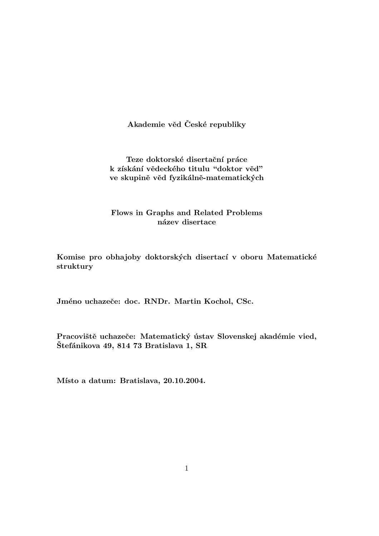# Akademie věd České republiky

Teze doktorské disertační práce k získání vědeckého titulu "doktor věd" ve skupině věd fyzikálně-matematických

# Flows in Graphs and Related Problems název disertace

Komise pro obhajoby doktorských disertací v oboru Matematické struktury

Jméno uchazeče: doc. RNDr. Martin Kochol, CSc.

Pracoviště uchazeče: Matematický ústav Slovenskej akadémie vied, Štefánikova 49, 814 73 Bratislava 1, SR

Místo a datum: Bratislava, 20.10.2004.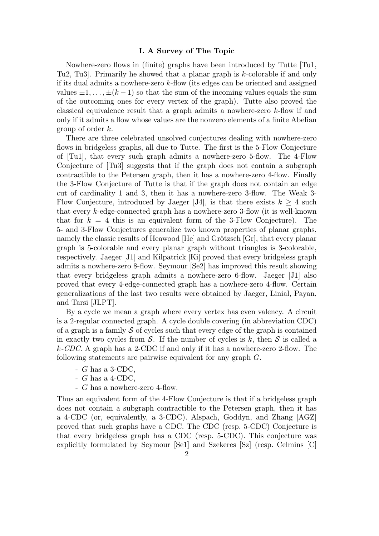# I. A Survey of The Topic

Nowhere-zero flows in (finite) graphs have been introduced by Tutte [Tu1, Tu2, Tu3]. Primarily he showed that a planar graph is k-colorable if and only if its dual admits a nowhere-zero k-flow (its edges can be oriented and assigned values  $\pm 1, \ldots, \pm (k-1)$  so that the sum of the incoming values equals the sum of the outcoming ones for every vertex of the graph). Tutte also proved the classical equivalence result that a graph admits a nowhere-zero k-flow if and only if it admits a flow whose values are the nonzero elements of a finite Abelian group of order k.

There are three celebrated unsolved conjectures dealing with nowhere-zero flows in bridgeless graphs, all due to Tutte. The first is the 5-Flow Conjecture of [Tu1], that every such graph admits a nowhere-zero 5-flow. The 4-Flow Conjecture of [Tu3] suggests that if the graph does not contain a subgraph contractible to the Petersen graph, then it has a nowhere-zero 4-flow. Finally the 3-Flow Conjecture of Tutte is that if the graph does not contain an edge cut of cardinality 1 and 3, then it has a nowhere-zero 3-flow. The Weak 3- Flow Conjecture, introduced by Jaeger [J4], is that there exists  $k \geq 4$  such that every k-edge-connected graph has a nowhere-zero 3-flow (it is well-known that for  $k = 4$  this is an equivalent form of the 3-Flow Conjecture). The 5- and 3-Flow Conjectures generalize two known properties of planar graphs, namely the classic results of Heawood  $[H]$  and Grötzsch  $[G]$ , that every planar graph is 5-colorable and every planar graph without triangles is 3-colorable, respectively. Jaeger [J1] and Kilpatrick [Ki] proved that every bridgeless graph admits a nowhere-zero 8-flow. Seymour [Se2] has improved this result showing that every bridgeless graph admits a nowhere-zero 6-flow. Jaeger [J1] also proved that every 4-edge-connected graph has a nowhere-zero 4-flow. Certain generalizations of the last two results were obtained by Jaeger, Linial, Payan, and Tarsi [JLPT].

By a cycle we mean a graph where every vertex has even valency. A circuit is a 2-regular connected graph. A cycle double covering (in abbreviation CDC) of a graph is a family  $\mathcal S$  of cycles such that every edge of the graph is contained in exactly two cycles from S. If the number of cycles is k, then S is called a  $k$ -CDC. A graph has a 2-CDC if and only if it has a nowhere-zero 2-flow. The following statements are pairwise equivalent for any graph  $G$ .

- $-G$  has a 3-CDC,
- $-G$  has a 4-CDC,
- G has a nowhere-zero 4-flow.

Thus an equivalent form of the 4-Flow Conjecture is that if a bridgeless graph does not contain a subgraph contractible to the Petersen graph, then it has a 4-CDC (or, equivalently, a 3-CDC). Alspach, Goddyn, and Zhang [AGZ] proved that such graphs have a CDC. The CDC (resp. 5-CDC) Conjecture is that every bridgeless graph has a CDC (resp. 5-CDC). This conjecture was explicitly formulated by Seymour [Se1] and Szekeres [Sz] (resp. Celmins [C]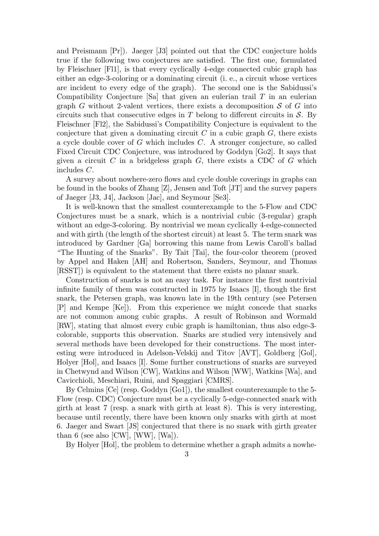and Preismann [Pr]). Jaeger [J3] pointed out that the CDC conjecture holds true if the following two conjectures are satisfied. The first one, formulated by Fleischner [Fl1], is that every cyclically 4-edge connected cubic graph has either an edge-3-coloring or a dominating circuit (i. e., a circuit whose vertices are incident to every edge of the graph). The second one is the Sabidussi's Compatibility Conjecture  $[Sa]$  that given an eulerian trail T in an eulerian graph G without 2-valent vertices, there exists a decomposition  $S$  of G into circuits such that consecutive edges in  $T$  belong to different circuits in  $S$ . By Fleischner [Fl2], the Sabidussi's Compatibility Conjecture is equivalent to the conjecture that given a dominating circuit  $C$  in a cubic graph  $G$ , there exists a cycle double cover of G which includes C. A stronger conjecture, so called Fixed Circuit CDC Conjecture, was introduced by Goddyn [Go2]. It says that given a circuit C in a bridgeless graph  $G$ , there exists a CDC of  $G$  which includes C.

A survey about nowhere-zero flows and cycle double coverings in graphs can be found in the books of Zhang [Z], Jensen and Toft [JT] and the survey papers of Jaeger [J3, J4], Jackson [Jac], and Seymour [Se3].

It is well-known that the smallest counterexample to the 5-Flow and CDC Conjectures must be a snark, which is a nontrivial cubic (3-regular) graph without an edge-3-coloring. By nontrivial we mean cyclically 4-edge-connected and with girth (the length of the shortest circuit) at least 5. The term snark was introduced by Gardner [Ga] borrowing this name from Lewis Caroll's ballad "The Hunting of the Snarks". By Tait [Tai], the four-color theorem (proved by Appel and Haken [AH] and Robertson, Sanders, Seymour, and Thomas [RSST]) is equivalent to the statement that there exists no planar snark.

Construction of snarks is not an easy task. For instance the first nontrivial infinite family of them was constructed in 1975 by Isaacs [I], though the first snark, the Petersen graph, was known late in the 19th century (see Petersen [P] and Kempe [Ke]). From this experience we might concede that snarks are not common among cubic graphs. A result of Robinson and Wormald [RW], stating that almost every cubic graph is hamiltonian, thus also edge-3 colorable, supports this observation. Snarks are studied very intensively and several methods have been developed for their constructions. The most interesting were introduced in Adelson-Velskij and Titov [AVT], Goldberg [Gol], Holyer [Hol], and Isaacs [I]. Some further constructions of snarks are surveyed in Chetwynd and Wilson [CW], Watkins and Wilson [WW], Watkins [Wa], and Cavicchioli, Meschiari, Ruini, and Spaggiari [CMRS].

By Celmins [Ce] (resp. Goddyn [Go1]), the smallest counterexample to the 5- Flow (resp. CDC) Conjecture must be a cyclically 5-edge-connected snark with girth at least 7 (resp. a snark with girth at least 8). This is very interesting, because until recently, there have been known only snarks with girth at most 6. Jaeger and Swart [JS] conjectured that there is no snark with girth greater than 6 (see also [CW], [WW], [Wa]).

By Holyer [Hol], the problem to determine whether a graph admits a nowhe-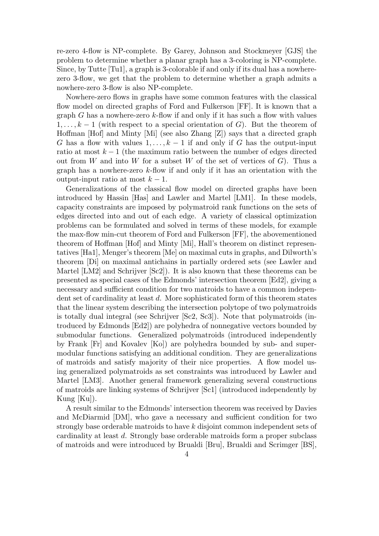re-zero 4-flow is NP-complete. By Garey, Johnson and Stockmeyer [GJS] the problem to determine whether a planar graph has a 3-coloring is NP-complete. Since, by Tutte [Tu1], a graph is 3-colorable if and only if its dual has a nowherezero 3-flow, we get that the problem to determine whether a graph admits a nowhere-zero 3-flow is also NP-complete.

Nowhere-zero flows in graphs have some common features with the classical flow model on directed graphs of Ford and Fulkerson [FF]. It is known that a graph G has a nowhere-zero  $k$ -flow if and only if it has such a flow with values  $1, \ldots, k-1$  (with respect to a special orientation of G). But the theorem of Hoffman [Hof] and Minty [Mi] (see also Zhang [Z]) says that a directed graph G has a flow with values  $1, \ldots, k-1$  if and only if G has the output-input ratio at most  $k-1$  (the maximum ratio between the number of edges directed out from W and into W for a subset W of the set of vertices of  $G$ ). Thus a graph has a nowhere-zero  $k$ -flow if and only if it has an orientation with the output-input ratio at most  $k - 1$ .

Generalizations of the classical flow model on directed graphs have been introduced by Hassin [Has] and Lawler and Martel [LM1]. In these models, capacity constraints are imposed by polymatroid rank functions on the sets of edges directed into and out of each edge. A variety of classical optimization problems can be formulated and solved in terms of these models, for example the max-flow min-cut theorem of Ford and Fulkerson [FF], the abovementioned theorem of Hoffman [Hof] and Minty [Mi], Hall's theorem on distinct representatives [Ha1], Menger's theorem [Me] on maximal cuts in graphs, and Dilworth's theorem [Di] on maximal antichains in partially ordered sets (see Lawler and Martel [LM2] and Schrijver [Sc2]). It is also known that these theorems can be presented as special cases of the Edmonds' intersection theorem [Ed2], giving a necessary and sufficient condition for two matroids to have a common independent set of cardinality at least d. More sophisticated form of this theorem states that the linear system describing the intersection polytope of two polymatroids is totally dual integral (see Schrijver [Sc2, Sc3]). Note that polymatroids (introduced by Edmonds [Ed2]) are polyhedra of nonnegative vectors bounded by submodular functions. Generalized polymatroids (introduced independently by Frank [Fr] and Kovalev [Ko]) are polyhedra bounded by sub- and supermodular functions satisfying an additional condition. They are generalizations of matroids and satisfy majority of their nice properties. A flow model using generalized polymatroids as set constraints was introduced by Lawler and Martel [LM3]. Another general framework generalizing several constructions of matroids are linking systems of Schrijver [Sc1] (introduced independently by Kung  $|Ku|$ ).

A result similar to the Edmonds' intersection theorem was received by Davies and McDiarmid [DM], who gave a necessary and sufficient condition for two strongly base orderable matroids to have k disjoint common independent sets of cardinality at least d. Strongly base orderable matroids form a proper subclass of matroids and were introduced by Brualdi [Bru], Brualdi and Scrimger [BS],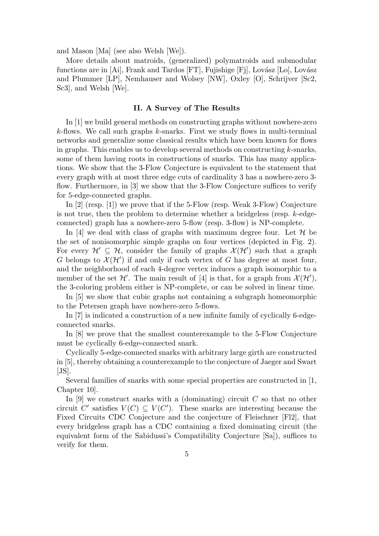and Mason [Ma] (see also Welsh [We]).

More details about matroids, (generalized) polymatroids and submodular functions are in  $[Ai]$ , Frank and Tardos  $[FT]$ , Fujishige  $[Fi]$ , Lovász  $[Lo]$ , Lovász and Plummer [LP], Nemhauser and Wolsey [NW], Oxley [O], Schrijver [Sc2, Sc3], and Welsh [We].

# II. A Survey of The Results

In [1] we build general methods on constructing graphs without nowhere-zero  $k$ -flows. We call such graphs  $k$ -snarks. First we study flows in multi-terminal networks and generalize some classical results which have been known for flows in graphs. This enables us to develop several methods on constructing  $k$ -snarks, some of them having roots in constructions of snarks. This has many applications. We show that the 3-Flow Conjecture is equivalent to the statement that every graph with at most three edge cuts of cardinality 3 has a nowhere-zero 3 flow. Furthermore, in [3] we show that the 3-Flow Conjecture suffices to verify for 5-edge-connected graphs.

In [2] (resp. [1]) we prove that if the 5-Flow (resp. Weak 3-Flow) Conjecture is not true, then the problem to determine whether a bridgeless (resp. k-edgeconnected) graph has a nowhere-zero 5-flow (resp. 3-flow) is NP-complete.

In [4] we deal with class of graphs with maximum degree four. Let  $\mathcal H$  be the set of nonisomorphic simple graphs on four vertices (depicted in Fig. 2). For every  $\mathcal{H}' \subseteq \mathcal{H}$ , consider the family of graphs  $\mathcal{X}(\mathcal{H}')$  such that a graph G belongs to  $\mathcal{X}(\mathcal{H}')$  if and only if each vertex of G has degree at most four, and the neighborhood of each 4-degree vertex induces a graph isomorphic to a member of the set  $\mathcal{H}'$ . The main result of [4] is that, for a graph from  $\mathcal{X}(\mathcal{H}')$ , the 3-coloring problem either is NP-complete, or can be solved in linear time.

In [5] we show that cubic graphs not containing a subgraph homeomorphic to the Petersen graph have nowhere-zero 5-flows.

In [7] is indicated a construction of a new infinite family of cyclically 6-edgeconnected snarks.

In [8] we prove that the smallest counterexample to the 5-Flow Conjecture must be cyclically 6-edge-connected snark.

Cyclically 5-edge-connected snarks with arbitrary large girth are constructed in [5], thereby obtaining a counterexample to the conjecture of Jaeger and Swart  $[JS]$ .

Several families of snarks with some special properties are constructed in [1, Chapter 10].

In  $[9]$  we construct snarks with a (dominating) circuit C so that no other circuit C' satisfies  $V(C) \subseteq V(C')$ . These snarks are interesting because the Fixed Circuits CDC Conjecture and the conjecture of Fleischner [Fl2], that every bridgeless graph has a CDC containing a fixed dominating circuit (the equivalent form of the Sabidussi's Compatibility Conjecture [Sa]), suffices to verify for them.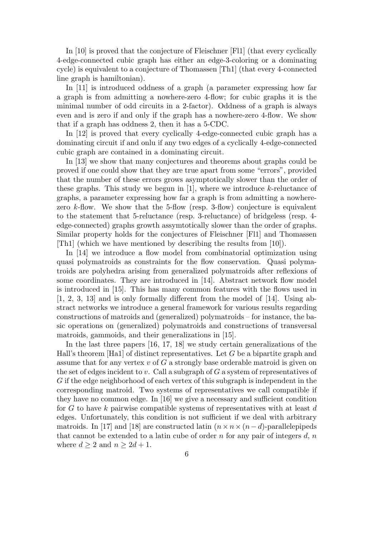In [10] is proved that the conjecture of Fleischner [Fl1] (that every cyclically 4-edge-connected cubic graph has either an edge-3-coloring or a dominating cycle) is equivalent to a conjecture of Thomassen [Th1] (that every 4-connected line graph is hamiltonian).

In [11] is introduced oddness of a graph (a parameter expressing how far a graph is from admitting a nowhere-zero 4-flow; for cubic graphs it is the minimal number of odd circuits in a 2-factor). Oddness of a graph is always even and is zero if and only if the graph has a nowhere-zero 4-flow. We show that if a graph has oddness 2, then it has a 5-CDC.

In [12] is proved that every cyclically 4-edge-connected cubic graph has a dominating circuit if and onlu if any two edges of a cyclically 4-edge-connected cubic graph are contained in a dominating circuit.

In [13] we show that many conjectures and theorems about graphs could be proved if one could show that they are true apart from some "errors", provided that the number of these errors grows asymptotically slower than the order of these graphs. This study we begun in  $[1]$ , where we introduce k-reluctance of graphs, a parameter expressing how far a graph is from admitting a nowherezero k-flow. We show that the 5-flow (resp. 3-flow) conjecture is equivalent to the statement that 5-reluctance (resp. 3-reluctance) of bridgeless (resp. 4 edge-connected) graphs growth assymtotically slower than the order of graphs. Similar property holds for the conjectures of Fleischner [Fl1] and Thomassen [Th1] (which we have mentioned by describing the results from [10]).

In [14] we introduce a flow model from combinatorial optimization using quasi polymatroids as constraints for the flow conservation. Quasi polymatroids are polyhedra arising from generalized polymatroids after reflexions of some coordinates. They are introduced in [14]. Abstract network flow model is introduced in [15]. This has many common features with the flows used in [1, 2, 3, 13] and is only formally different from the model of [14]. Using abstract networks we introduce a general framework for various results regarding constructions of matroids and (generalized) polymatroids – for instance, the basic operations on (generalized) polymatroids and constructions of transversal matroids, gammoids, and their generalizations in [15].

In the last three papers [16, 17, 18] we study certain generalizations of the Hall's theorem [Ha1] of distinct representatives. Let G be a bipartite graph and assume that for any vertex  $v$  of  $G$  a strongly base orderable matroid is given on the set of edges incident to  $v$ . Call a subgraph of  $G$  a system of representatives of G if the edge neighborhood of each vertex of this subgraph is independent in the corresponding matroid. Two systems of representatives we call compatible if they have no common edge. In [16] we give a necessary and sufficient condition for G to have k pairwise compatible systems of representatives with at least  $d$ edges. Unfortunately, this condition is not sufficient if we deal with arbitrary matroids. In [17] and [18] are constructed latin  $(n \times n \times (n-d))$ -parallelepipeds that cannot be extended to a latin cube of order n for any pair of integers d, n where  $d \geq 2$  and  $n \geq 2d + 1$ .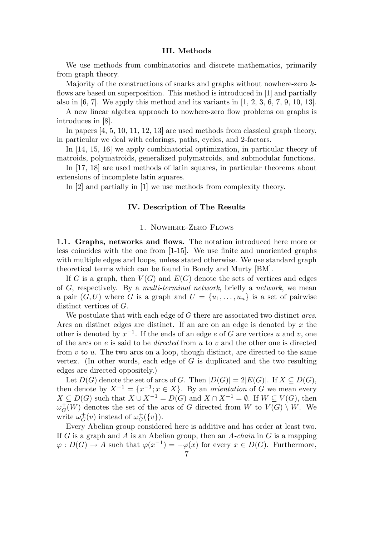## III. Methods

We use methods from combinatorics and discrete mathematics, primarily from graph theory.

Majority of the constructions of snarks and graphs without nowhere-zero kflows are based on superposition. This method is introduced in [1] and partially also in  $[6, 7]$ . We apply this method and its variants in  $[1, 2, 3, 6, 7, 9, 10, 13]$ .

A new linear algebra approach to nowhere-zero flow problems on graphs is introduces in [8].

In papers [4, 5, 10, 11, 12, 13] are used methods from classical graph theory, in particular we deal with colorings, paths, cycles, and 2-factors.

In [14, 15, 16] we apply combinatorial optimization, in particular theory of matroids, polymatroids, generalized polymatroids, and submodular functions.

In [17, 18] are used methods of latin squares, in particular theorems about extensions of incomplete latin squares.

In [2] and partially in [1] we use methods from complexity theory.

## IV. Description of The Results

# 1. Nowhere-Zero Flows

1.1. Graphs, networks and flows. The notation introduced here more or less coincides with the one from [1-15]. We use finite and unoriented graphs with multiple edges and loops, unless stated otherwise. We use standard graph theoretical terms which can be found in Bondy and Murty [BM].

If G is a graph, then  $V(G)$  and  $E(G)$  denote the sets of vertices and edges of G, respectively. By a multi-terminal network, briefly a network, we mean a pair  $(G, U)$  where G is a graph and  $U = \{u_1, \ldots, u_n\}$  is a set of pairwise distinct vertices of G.

We postulate that with each edge of G there are associated two distinct *arcs*. Arcs on distinct edges are distinct. If an arc on an edge is denoted by  $x$  the other is denoted by  $x^{-1}$ . If the ends of an edge e of G are vertices u and v, one of the arcs on  $e$  is said to be *directed* from  $u$  to  $v$  and the other one is directed from  $v$  to  $u$ . The two arcs on a loop, though distinct, are directed to the same vertex. (In other words, each edge of  $G$  is duplicated and the two resulting edges are directed oppositely.)

Let  $D(G)$  denote the set of arcs of G. Then  $|D(G)| = 2|E(G)|$ . If  $X \subseteq D(G)$ , then denote by  $X^{-1} = \{x^{-1} : x \in X\}$ . By an *orientation* of G we mean every  $X \subseteq D(G)$  such that  $X \cup X^{-1} = D(G)$  and  $X \cap X^{-1} = \emptyset$ . If  $W \subseteq V(G)$ , then  $\omega_G^+(W)$  denotes the set of the arcs of G directed from W to  $V(G) \setminus W$ . We write  $\omega_G^+(v)$  instead of  $\omega_G^+(\{v\})$ .

Every Abelian group considered here is additive and has order at least two. If  $G$  is a graph and  $A$  is an Abelian group, then an  $A$ -chain in  $G$  is a mapping  $\varphi: D(G) \to A$  such that  $\varphi(x^{-1}) = -\varphi(x)$  for every  $x \in D(G)$ . Furthermore,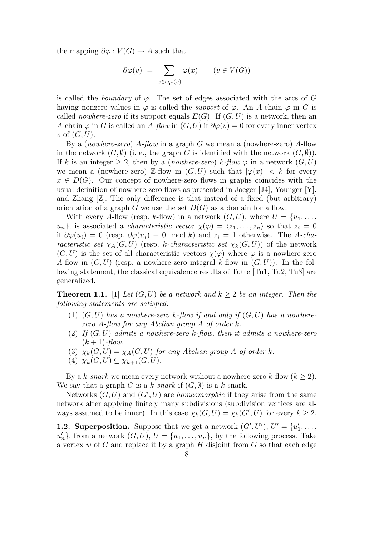the mapping  $\partial \varphi : V(G) \to A$  such that

$$
\partial \varphi(v) = \sum_{x \in \omega_G^+(v)} \varphi(x) \qquad (v \in V(G))
$$

is called the *boundary* of  $\varphi$ . The set of edges associated with the arcs of G having nonzero values in  $\varphi$  is called the *support* of  $\varphi$ . An A-chain  $\varphi$  in G is called *nowhere-zero* if its support equals  $E(G)$ . If  $(G, U)$  is a network, then an A-chain  $\varphi$  in G is called an A-flow in  $(G, U)$  if  $\partial \varphi(v) = 0$  for every inner vertex v of  $(G, U)$ .

By a (nowhere-zero)  $A$ -flow in a graph G we mean a (nowhere-zero)  $A$ -flow in the network  $(G, \emptyset)$  (i. e., the graph G is identified with the network  $(G, \emptyset)$ ). If k is an integer  $\geq 2$ , then by a (*nowhere-zero*) k-flow  $\varphi$  in a network  $(G, U)$ we mean a (nowhere-zero) Z-flow in  $(G, U)$  such that  $|\varphi(x)| < k$  for every  $x \in D(G)$ . Our concept of nowhere-zero flows in graphs coincides with the usual definition of nowhere-zero flows as presented in Jaeger [J4], Younger [Y], and Zhang [Z]. The only difference is that instead of a fixed (but arbitrary) orientation of a graph G we use the set  $D(G)$  as a domain for a flow.

With every A-flow (resp. k-flow) in a network  $(G, U)$ , where  $U = \{u_1, \ldots, u\}$  $u_n$ , is associated a *characteristic vector*  $\chi(\varphi) = \langle z_1, \ldots, z_n \rangle$  so that  $z_i = 0$ if  $\partial \varphi(u_i) = 0$  (resp.  $\partial \varphi(u_i) \equiv 0 \mod k$ ) and  $z_i = 1$  otherwise. The A-characteristic set  $\chi_A(G, U)$  (resp. k-characteristic set  $\chi_k(G, U)$ ) of the network  $(G, U)$  is the set of all characteristic vectors  $\chi(\varphi)$  where  $\varphi$  is a nowhere-zero A-flow in  $(G, U)$  (resp. a nowhere-zero integral k-flow in  $(G, U)$ ). In the following statement, the classical equivalence results of Tutte [Tu1, Tu2, Tu3] are generalized.

**Theorem 1.1.** [1] Let  $(G, U)$  be a network and  $k \geq 2$  be an integer. Then the following statements are satisfied.

- (1)  $(G, U)$  has a nowhere-zero k-flow if and only if  $(G, U)$  has a nowherezero A-flow for any Abelian group A of order k.
- (2) If  $(G, U)$  admits a nowhere-zero k-flow, then it admits a nowhere-zero  $(k+1)$ -flow.
- (3)  $\chi_k(G, U) = \chi_A(G, U)$  for any Abelian group A of order k.
- (4)  $\chi_k(G, U) \subseteq \chi_{k+1}(G, U).$

By a k-snark we mean every network without a nowhere-zero k-flow  $(k \geq 2)$ . We say that a graph G is a k-snark if  $(G, \emptyset)$  is a k-snark.

Networks  $(G, U)$  and  $(G', U)$  are *homeomorphic* if they arise from the same network after applying finitely many subdivisions (subdivision vertices are always assumed to be inner). In this case  $\chi_k(G, U) = \chi_k(G', U)$  for every  $k \geq 2$ .

**1.2. Superposition.** Suppose that we get a network  $(G', U'), U' = \{u'_1, \ldots, u\}$  $u'_n$ , from a network  $(G, U)$ ,  $U = \{u_1, \ldots, u_n\}$ , by the following process. Take a vertex  $w$  of  $G$  and replace it by a graph  $H$  disjoint from  $G$  so that each edge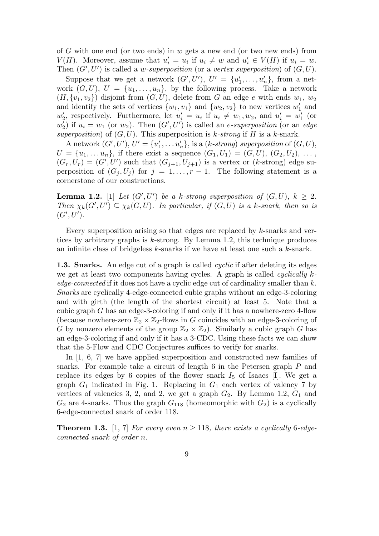of G with one end (or two ends) in w gets a new end (or two new ends) from  $V(H)$ . Moreover, assume that  $u'_i = u_i$  if  $u_i \neq w$  and  $u'_i \in V(H)$  if  $u_i = w$ . Then  $(G', U')$  is called a *w-superposition* (or a vertex superposition) of  $(G, U)$ .

Suppose that we get a network  $(G', U')$ ,  $U' = \{u'_1, \ldots, u'_n\}$ , from a network  $(G, U)$ ,  $U = \{u_1, \ldots, u_n\}$ , by the following process. Take a network  $(H, \{v_1, v_2\})$  disjoint from  $(G, U)$ , delete from G an edge e with ends  $w_1, w_2$ and identify the sets of vertices  $\{w_1, v_1\}$  and  $\{w_2, v_2\}$  to new vertices  $w'_1$  and  $w'_2$ , respectively. Furthermore, let  $u'_i = u_i$  if  $u_i \neq w_1, w_2$ , and  $u'_i = w'_1$  (or  $w'_2$ ) if  $u_i = w_1$  (or  $w_2$ ). Then  $(G', U')$  is called an *e-superposition* (or an *edge* superposition) of  $(G, U)$ . This superposition is k-strong if H is a k-snark.

A network  $(G', U'), U' = \{u'_1, \ldots u'_n\}$ , is a  $(k\textrm{-}strong)$  superposition of  $(G, U),$  $U = \{u_1, \ldots u_n\}$ , if there exist a sequence  $(G_1, U_1) = (G, U), (G_2, U_2), \ldots$  $(G_r, U_r) = (G', U')$  such that  $(G_{j+1}, U_{j+1})$  is a vertex or (k-strong) edge superposition of  $(G_i, U_j)$  for  $j = 1, ..., r - 1$ . The following statement is a cornerstone of our constructions.

**Lemma 1.2.** [1] Let  $(G', U')$  be a k-strong superposition of  $(G, U)$ ,  $k \geq 2$ . Then  $\chi_k(G', U') \subseteq \chi_k(G, U)$ . In particular, if  $(G, U)$  is a k-snark, then so is  $(G', U').$ 

Every superposition arising so that edges are replaced by  $k$ -snarks and vertices by arbitrary graphs is k-strong. By Lemma 1.2, this technique produces an infinite class of bridgeless k-snarks if we have at least one such a k-snark.

**1.3. Snarks.** An edge cut of a graph is called *cyclic* if after deleting its edges we get at least two components having cycles. A graph is called *cyclically k*edge-connected if it does not have a cyclic edge cut of cardinality smaller than  $k$ . Snarks are cyclically 4-edge-connected cubic graphs without an edge-3-coloring and with girth (the length of the shortest circuit) at least 5. Note that a cubic graph  $G$  has an edge-3-coloring if and only if it has a nowhere-zero 4-flow (because nowhere-zero  $\mathbb{Z}_2 \times \mathbb{Z}_2$ -flows in G coincides with an edge-3-coloring of G by nonzero elements of the group  $\mathbb{Z}_2 \times \mathbb{Z}_2$ . Similarly a cubic graph G has an edge-3-coloring if and only if it has a 3-CDC. Using these facts we can show that the 5-Flow and CDC Conjectures suffices to verify for snarks.

In [1, 6, 7] we have applied superposition and constructed new families of snarks. For example take a circuit of length  $6$  in the Petersen graph  $P$  and replace its edges by 6 copies of the flower snark  $I_5$  of Isaacs [I]. We get a graph  $G_1$  indicated in Fig. 1. Replacing in  $G_1$  each vertex of valency 7 by vertices of valencies 3, 2, and 2, we get a graph  $G_2$ . By Lemma 1.2,  $G_1$  and  $G_2$  are 4-snarks. Thus the graph  $G_{118}$  (homeomorphic with  $G_2$ ) is a cyclically 6-edge-connected snark of order 118.

**Theorem 1.3.** [1, 7] For every even  $n > 118$ , there exists a cyclically 6-edgeconnected snark of order n.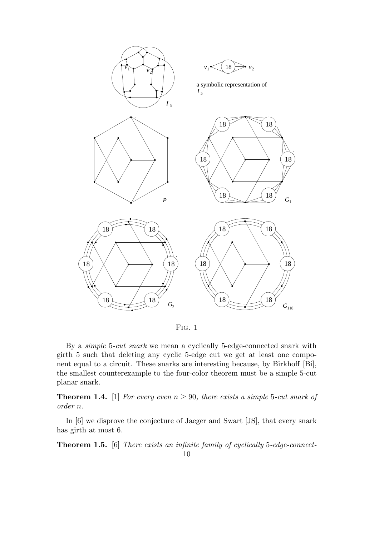

Fig. 1

By a simple 5-cut snark we mean a cyclically 5-edge-connected snark with girth 5 such that deleting any cyclic 5-edge cut we get at least one component equal to a circuit. These snarks are interesting because, by Birkhoff [Bi], the smallest counterexample to the four-color theorem must be a simple 5-cut planar snark.

**Theorem 1.4.** [1] For every even  $n \ge 90$ , there exists a simple 5-cut snark of order n.

In [6] we disprove the conjecture of Jaeger and Swart [JS], that every snark has girth at most 6.

Theorem 1.5. [6] There exists an infinite family of cyclically 5-edge-connect-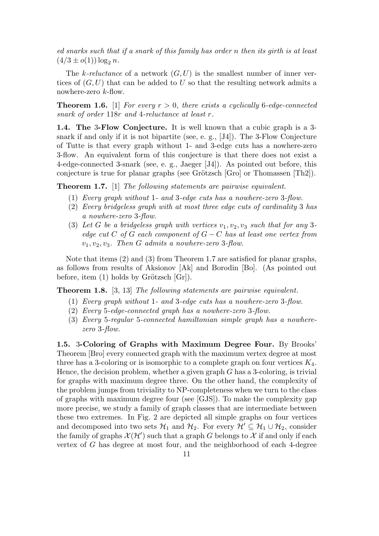ed snarks such that if a snark of this family has order n then its girth is at least  $(4/3 \pm o(1)) \log_2 n$ .

The k-reluctance of a network  $(G, U)$  is the smallest number of inner vertices of  $(G, U)$  that can be added to U so that the resulting network admits a nowhere-zero k-flow.

**Theorem 1.6.** [1] For every  $r > 0$ , there exists a cyclically 6-edge-connected snark of order 118r and 4-reluctance at least r.

1.4. The 3-Flow Conjecture. It is well known that a cubic graph is a 3 snark if and only if it is not bipartite (see, e. g., [J4]). The 3-Flow Conjecture of Tutte is that every graph without 1- and 3-edge cuts has a nowhere-zero 3-flow. An equivalent form of this conjecture is that there does not exist a 4-edge-connected 3-snark (see, e. g., Jaeger [J4]). As pointed out before, this conjecture is true for planar graphs (see Grötzsch [Gro] or Thomassen  $[Th2]$ ).

**Theorem 1.7.** [1] The following statements are pairwise equivalent.

- (1) Every graph without 1- and 3-edge cuts has a nowhere-zero 3-flow.
- (2) Every bridgeless graph with at most three edge cuts of cardinality 3 has a nowhere-zero 3-flow.
- (3) Let G be a bridgeless graph with vertices  $v_1, v_2, v_3$  such that for any 3edge cut C of G each component of  $G - C$  has at least one vertex from  $v_1, v_2, v_3$ . Then G admits a nowhere-zero 3-flow.

Note that items (2) and (3) from Theorem 1.7 are satisfied for planar graphs, as follows from results of Aksionov [Ak] and Borodin [Bo]. (As pointed out before, item  $(1)$  holds by Grötzsch  $|Gr|$ ).

Theorem 1.8. [3, 13] The following statements are pairwise equivalent.

- (1) Every graph without 1- and 3-edge cuts has a nowhere-zero 3-flow.
- (2) Every 5-edge-connected graph has a nowhere-zero 3-flow.
- (3) Every 5-regular 5-connected hamiltonian simple graph has a nowherezero 3-flow.

1.5. 3-Coloring of Graphs with Maximum Degree Four. By Brooks' Theorem [Bro] every connected graph with the maximum vertex degree at most three has a 3-coloring or is isomorphic to a complete graph on four vertices  $K_4$ . Hence, the decision problem, whether a given graph  $G$  has a 3-coloring, is trivial for graphs with maximum degree three. On the other hand, the complexity of the problem jumps from triviality to NP-completeness when we turn to the class of graphs with maximum degree four (see [GJS]). To make the complexity gap more precise, we study a family of graph classes that are intermediate between these two extremes. In Fig. 2 are depicted all simple graphs on four vertices and decomposed into two sets  $\mathcal{H}_1$  and  $\mathcal{H}_2$ . For every  $\mathcal{H}' \subseteq \mathcal{H}_1 \cup \mathcal{H}_2$ , consider the family of graphs  $\mathcal{X}(\mathcal{H}')$  such that a graph G belongs to X if and only if each vertex of G has degree at most four, and the neighborhood of each 4-degree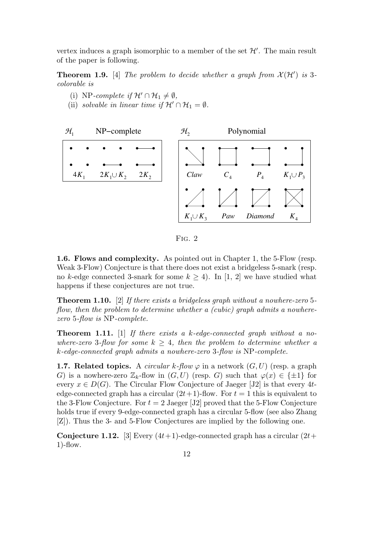vertex induces a graph isomorphic to a member of the set  $\mathcal{H}'$ . The main result of the paper is following.

**Theorem 1.9.** [4] The problem to decide whether a graph from  $\mathcal{X}(\mathcal{H}')$  is 3colorable is

- (i) NP-complete if  $\mathcal{H}' \cap \mathcal{H}_1 \neq \emptyset$ ,
- (ii) solvable in linear time if  $\mathcal{H}' \cap \mathcal{H}_1 = \emptyset$ .



Fig. 2

1.6. Flows and complexity. As pointed out in Chapter 1, the 5-Flow (resp. Weak 3-Flow) Conjecture is that there does not exist a bridgeless 5-snark (resp. no k-edge connected 3-snark for some  $k > 4$ ). In [1, 2] we have studied what happens if these conjectures are not true.

**Theorem 1.10.** [2] If there exists a bridgeless graph without a nowhere-zero 5flow, then the problem to determine whether a (cubic) graph admits a nowherezero 5-flow is NP-complete.

**Theorem 1.11.** [1] If there exists a k-edge-connected graph without a nowhere-zero 3-flow for some  $k \geq 4$ , then the problem to determine whether a k-edge-connected graph admits a nowhere-zero 3-flow is NP-complete.

**1.7. Related topics.** A *circular k-flow*  $\varphi$  in a network  $(G, U)$  (resp. a graph G) is a nowhere-zero  $\mathbb{Z}_k$ -flow in  $(G, U)$  (resp. G) such that  $\varphi(x) \in \{\pm 1\}$  for every  $x \in D(G)$ . The Circular Flow Conjecture of Jaeger [J2] is that every 4tedge-connected graph has a circular  $(2t+1)$ -flow. For  $t = 1$  this is equivalent to the 3-Flow Conjecture. For  $t = 2$  Jaeger [J2] proved that the 5-Flow Conjecture holds true if every 9-edge-connected graph has a circular 5-flow (see also Zhang [Z]). Thus the 3- and 5-Flow Conjectures are implied by the following one.

**Conjecture 1.12.** [3] Every  $(4t+1)$ -edge-connected graph has a circular  $(2t+$ 1)-flow.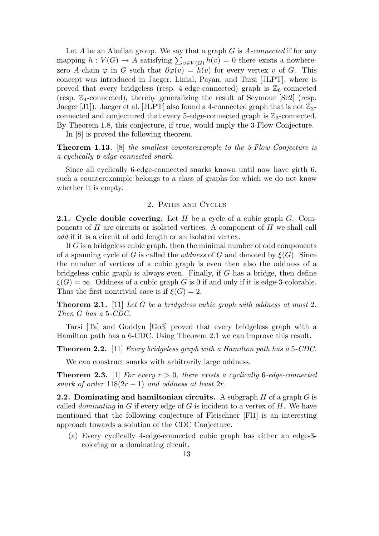Let A be an Abelian group. We say that a graph  $G$  is A-connected if for any Let A be an Abenan group. We say that a graph G is A-connected if for any mapping  $h: V(G) \to A$  satisfying  $\sum_{v \in V(G)} h(v) = 0$  there exists a nowherezero A-chain  $\varphi$  in G such that  $\partial \varphi(v) = h(v)$  for every vertex v of G. This concept was introduced in Jaeger, Linial, Payan, and Tarsi [JLPT], where is proved that every bridgeless (resp. 4-edge-connected) graph is  $\mathbb{Z}_6$ -connected (resp.  $\mathbb{Z}_4$ -connected), thereby generalizing the result of Seymour [Se2] (resp. Jaeger [J1]). Jaeger et al. [JLPT] also found a 4-connected graph that is not  $\mathbb{Z}_3$ connected and conjectured that every 5-edge-connected graph is  $\mathbb{Z}_3$ -connected. By Theorem 1.8, this conjecture, if true, would imply the 3-Flow Conjecture.

In [8] is proved the following theorem.

Theorem 1.13. [8] the smallest counterexample to the 5-Flow Conjecture is a cyclically 6-edge-connected snark.

Since all cyclically 6-edge-connected snarks known until now have girth 6, such a counterexample belongs to a class of graphs for which we do not know whether it is empty.

# 2. Paths and Cycles

**2.1.** Cycle double covering. Let  $H$  be a cycle of a cubic graph  $G$ . Components of  $H$  are circuits or isolated vertices. A component of  $H$  we shall call odd if it is a circuit of odd length or an isolated vertex.

If G is a bridgeless cubic graph, then the minimal number of odd components of a spanning cycle of G is called the *oddness* of G and denoted by  $\xi(G)$ . Since the number of vertices of a cubic graph is even then also the oddness of a bridgeless cubic graph is always even. Finally, if G has a bridge, then define  $\xi(G) = \infty$ . Oddness of a cubic graph G is 0 if and only if it is edge-3-colorable. Thus the first nontrivial case is if  $\xi(G) = 2$ .

**Theorem 2.1.** [11] Let G be a bridgeless cubic graph with oddness at most 2. Then G has a 5-CDC.

Tarsi [Ta] and Goddyn [Go3] proved that every bridgeless graph with a Hamilton path has a 6-CDC. Using Theorem 2.1 we can improve this result.

**Theorem 2.2.** [11] Every bridgeless graph with a Hamilton path has a 5-CDC.

We can construct snarks with arbitrarily large oddness.

**Theorem 2.3.** [1] For every  $r > 0$ , there exists a cyclically 6-edge-connected snark of order  $118(2r - 1)$  and oddness at least  $2r$ .

**2.2.** Dominating and hamiltonian circuits. A subgraph  $H$  of a graph  $G$  is called *dominating* in  $G$  if every edge of  $G$  is incident to a vertex of  $H$ . We have mentioned that the following conjecture of Fleischner [Fl1] is an interesting approach towards a solution of the CDC Conjecture.

(a) Every cyclically 4-edge-connected cubic graph has either an edge-3 coloring or a dominating circuit.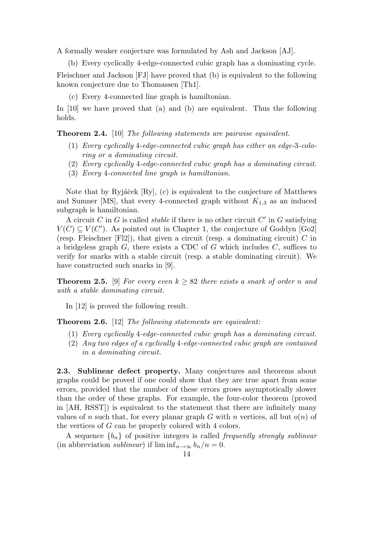A formally weaker conjecture was formulated by Ash and Jackson [AJ].

(b) Every cyclically 4-edge-connected cubic graph has a dominating cycle.

Fleischner and Jackson [FJ] have proved that (b) is equivalent to the following known conjecture due to Thomassen [Th1].

(c) Every 4-connected line graph is hamiltonian.

In [10] we have proved that (a) and (b) are equivalent. Thus the following holds.

Theorem 2.4. [10] The following statements are pairwise equivalent.

- (1) Every cyclically 4-edge-connected cubic graph has either an edge-3-coloring or a dominating circuit.
- (2) Every cyclically 4-edge-connected cubic graph has a dominating circuit.
- (3) Every 4-connected line graph is hamiltonian.

Note that by Ryjáček  $[Ry]$ , (c) is equivalent to the conjecture of Matthews and Sumner [MS], that every 4-connected graph without  $K_{1,3}$  as an induced subgraph is hamiltonian.

A circuit C in G is called *stable* if there is no other circuit  $C'$  in G satisfying  $V(C) \subseteq V(C')$ . As pointed out in Chapter 1, the conjecture of Goddyn [Go2] (resp. Fleischner  $[F12]$ ), that given a circuit (resp. a dominating circuit) C in a bridgeless graph  $G$ , there exists a CDC of  $G$  which includes  $C$ , suffices to verify for snarks with a stable circuit (resp. a stable dominating circuit). We have constructed such snarks in [9].

**Theorem 2.5.** [9] For every even  $k \geq 82$  there exists a snark of order n and with a stable dominating circuit.

In [12] is proved the following result.

Theorem 2.6. [12] The following statements are equivalent:

- (1) Every cyclically 4-edge-connected cubic graph has a dominating circuit.
- (2) Any two edges of a cyclically 4-edge-connected cubic graph are contained in a dominating circuit.

2.3. Sublinear defect property. Many conjectures and theorems about graphs could be proved if one could show that they are true apart from some errors, provided that the number of these errors grows asymptotically slower than the order of these graphs. For example, the four-color theorem (proved in [AH, RSST]) is equivalent to the statement that there are infinitely many values of n such that, for every planar graph G with n vertices, all but  $o(n)$  of the vertices of G can be properly colored with 4 colors.

A sequence  $\{b_n\}$  of positive integers is called *frequently strongly sublinear* (in abbreviation *sublinear*) if  $\liminf_{n\to\infty} b_n/n = 0$ .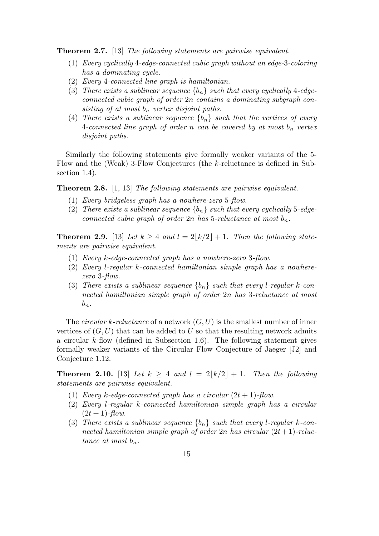Theorem 2.7. [13] The following statements are pairwise equivalent.

- (1) Every cyclically 4-edge-connected cubic graph without an edge-3-coloring has a dominating cycle.
- (2) Every 4-connected line graph is hamiltonian.
- (3) There exists a sublinear sequence  ${b_n}$  such that every cyclically 4-edgeconnected cubic graph of order 2n contains a dominating subgraph consisting of at most  $b_n$  vertex disjoint paths.
- (4) There exists a sublinear sequence  ${b_n}$  such that the vertices of every 4-connected line graph of order n can be covered by at most  $b_n$  vertex disjoint paths.

Similarly the following statements give formally weaker variants of the 5- Flow and the (Weak) 3-Flow Conjectures (the k-reluctance is defined in Subsection 1.4).

**Theorem 2.8.** [1, 13] The following statements are pairwise equivalent.

- (1) Every bridgeless graph has a nowhere-zero 5-flow.
- (2) There exists a sublinear sequence  ${b_n}$  such that every cyclically 5-edgeconnected cubic graph of order  $2n$  has 5-reluctance at most  $b_n$ .

**Theorem 2.9.** [13] Let  $k \geq 4$  and  $l = 2|k/2|+1$ . Then the following statements are pairwise equivalent.

- (1) Every k-edge-connected graph has a nowhere-zero 3-flow.
- (2) Every l-regular k-connected hamiltonian simple graph has a nowherezero 3-flow.
- (3) There exists a sublinear sequence  ${b_n}$  such that every l-regular k-connected hamiltonian simple graph of order 2n has 3-reluctance at most  $b_n$ .

The *circular k-reluctance* of a network  $(G, U)$  is the smallest number of inner vertices of  $(G, U)$  that can be added to U so that the resulting network admits a circular k-flow (defined in Subsection 1.6). The following statement gives formally weaker variants of the Circular Flow Conjecture of Jaeger [J2] and Conjecture 1.12.

**Theorem 2.10.** [13] Let  $k \geq 4$  and  $l = 2|k/2| + 1$ . Then the following statements are pairwise equivalent.

- (1) Every k-edge-connected graph has a circular  $(2t + 1)$ -flow.
- (2) Every l-regular k-connected hamiltonian simple graph has a circular  $(2t + 1)$ -flow.
- (3) There exists a sublinear sequence  ${b_n}$  such that every l-regular k-connected hamiltonian simple graph of order  $2n$  has circular  $(2t+1)$ -reluctance at most  $b_n$ .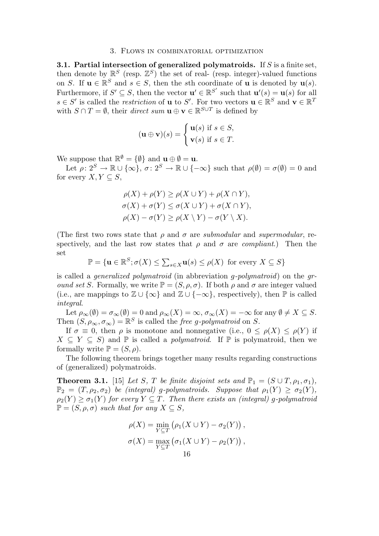#### 3. Flows in combinatorial optimization

**3.1. Partial intersection of generalized polymatroids.** If  $S$  is a finite set, then denote by  $\mathbb{R}^S$  (resp.  $\mathbb{Z}^S$ ) the set of real- (resp. integer)-valued functions on S. If  $\mathbf{u} \in \mathbb{R}^S$  and  $s \in S$ , then the sth coordinate of **u** is denoted by  $\mathbf{u}(s)$ . Furthermore, if  $S' \subseteq S$ , then the vector  $\mathbf{u}' \in \mathbb{R}^{S'}$  such that  $\mathbf{u}'(s) = \mathbf{u}(s)$  for all  $s \in S'$  is called the *restriction* of **u** to S'. For two vectors  $\mathbf{u} \in \mathbb{R}^S$  and  $\mathbf{v} \in \mathbb{R}^T$ with  $S \cap T = \emptyset$ , their direct sum  $\mathbf{u} \oplus \mathbf{v} \in \mathbb{R}^{S \cup T}$  is defined by

$$
(\mathbf{u} \oplus \mathbf{v})(s) = \begin{cases} \mathbf{u}(s) \text{ if } s \in S, \\ \mathbf{v}(s) \text{ if } s \in T. \end{cases}
$$

We suppose that  $\mathbb{R}^{\emptyset} = \{\emptyset\}$  and  $\mathbf{u} \oplus \emptyset = \mathbf{u}$ .

Let  $\rho: 2^S \to \mathbb{R} \cup \{\infty\}, \sigma: 2^S \to \mathbb{R} \cup \{-\infty\}$  such that  $\rho(\emptyset) = \sigma(\emptyset) = 0$  and for every  $X, Y \subseteq S$ ,

$$
\rho(X) + \rho(Y) \ge \rho(X \cup Y) + \rho(X \cap Y),
$$
  
\n
$$
\sigma(X) + \sigma(Y) \le \sigma(X \cup Y) + \sigma(X \cap Y),
$$
  
\n
$$
\rho(X) - \sigma(Y) \ge \rho(X \setminus Y) - \sigma(Y \setminus X).
$$

(The first two rows state that  $\rho$  and  $\sigma$  are submodular and supermodular, respectively, and the last row states that  $\rho$  and  $\sigma$  are *compliant*.) Then the set  $\overline{ }$ 

$$
\mathbb{P} = \{ \mathbf{u} \in \mathbb{R}^{S}; \sigma(X) \le \sum_{s \in X} \mathbf{u}(s) \le \rho(X) \text{ for every } X \subseteq S \}
$$

is called a generalized polymatroid (in abbreviation g-polymatroid) on the ground set S. Formally, we write  $\mathbb{P} = (S, \rho, \sigma)$ . If both  $\rho$  and  $\sigma$  are integer valued (i.e., are mappings to  $\mathbb{Z} \cup {\infty}$  and  $\mathbb{Z} \cup {\infty}$ , respectively), then  $\mathbb P$  is called integral.

Let  $\rho_{\infty}(\emptyset) = \sigma_{\infty}(\emptyset) = 0$  and  $\rho_{\infty}(X) = \infty$ ,  $\sigma_{\infty}(X) = -\infty$  for any  $\emptyset \neq X \subseteq S$ . Then  $(S, \rho_{\infty}, \sigma_{\infty}) = \mathbb{R}^{S}$  is called the *free g-polymatroid* on S.

If  $\sigma \equiv 0$ , then  $\rho$  is monotone and nonnegative (i.e.,  $0 \leq \rho(X) \leq \rho(Y)$ ) if  $X \subseteq Y \subseteq S$  and  $\mathbb P$  is called a *polymatroid*. If  $\mathbb P$  is polymatroid, then we formally write  $\mathbb{P} = (S, \rho)$ .

The following theorem brings together many results regarding constructions of (generalized) polymatroids.

**Theorem 3.1.** [15] Let S, T be finite disjoint sets and  $\mathbb{P}_1 = (S \cup T, \rho_1, \sigma_1)$ ,  $\mathbb{P}_2 = (T, \rho_2, \sigma_2)$  be (integral) g-polymatroids. Suppose that  $\rho_1(Y) \geq \sigma_2(Y)$ ,  $\rho_2(Y) \geq \sigma_1(Y)$  for every  $Y \subseteq T$ . Then there exists an (integral) g-polymatroid  $\mathbb{P} = (S, \rho, \sigma)$  such that for any  $X \subseteq S$ ,

$$
\rho(X) = \min_{Y \subseteq T} (\rho_1(X \cup Y) - \sigma_2(Y)),
$$
  

$$
\sigma(X) = \max_{Y \subseteq T} (\sigma_1(X \cup Y) - \rho_2(Y)),
$$
  
16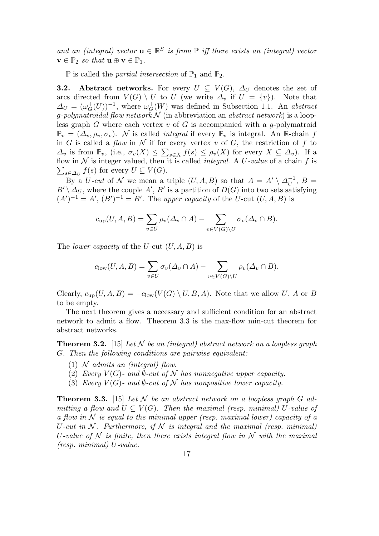and an (integral) vector  $\mathbf{u} \in \mathbb{R}^S$  is from  $\mathbb{P}$  iff there exists an (integral) vector  $\mathbf{v} \in \mathbb{P}_2$  so that  $\mathbf{u} \oplus \mathbf{v} \in \mathbb{P}_1$ .

 $\mathbb P$  is called the *partial intersection* of  $\mathbb P_1$  and  $\mathbb P_2$ .

**3.2.** Abstract networks. For every  $U \subseteq V(G)$ ,  $\Delta_U$  denotes the set of arcs directed from  $V(G) \setminus U$  to U (we write  $\Delta_v$  if  $U = \{v\}$ ). Note that  $\Delta_U = (\omega_G^+(U))^{-1}$ , where  $\omega_G^+(W)$  was defined in Subsection 1.1. An abstract g-polymatroidal flow network  $\mathcal N$  (in abbreviation an abstract network) is a loopless graph  $G$  where each vertex  $v$  of  $G$  is accompanied with a g-polymatroid  $\mathbb{P}_v = (\Delta_v, \rho_v, \sigma_v)$ . N is called *integral* if every  $\mathbb{P}_v$  is integral. An R-chain f in G is called a flow in N if for every vertex v of G, the restriction of f to  $\Delta_v$  is from  $\mathbb{P}_v$ , (i.e.,  $\sigma_v(X) \leq \sum_{s \in X} f(s) \leq \rho_v(X)$  for every  $X \subseteq \Delta_v$ ). If a flow in N is integer valued, then it is called *integral*. A U-value of a chain f is  $s\in\Delta_U} f(s)$  for every  $U \subseteq V(G)$ .

By a U-cut of N we mean a triple  $(U, A, B)$  so that  $A = A' \setminus \Delta_{U}^{-1}$  $U^{-1}$ ,  $B =$  $B' \setminus \Delta_U$ , where the couple A', B' is a partition of  $D(G)$  into two sets satisfying  $(A')^{-1} = A', (B')^{-1} = B'.$  The upper capacity of the U-cut  $(U, A, B)$  is

$$
c_{\text{up}}(U, A, B) = \sum_{v \in U} \rho_v(\Delta_v \cap A) - \sum_{v \in V(G) \setminus U} \sigma_v(\Delta_v \cap B).
$$

The *lower capacity* of the U-cut  $(U, A, B)$  is

$$
c_{\text{low}}(U, A, B) = \sum_{v \in U} \sigma_v(\Delta_v \cap A) - \sum_{v \in V(G) \setminus U} \rho_v(\Delta_v \cap B).
$$

Clearly,  $c_{\text{up}}(U, A, B) = -c_{\text{low}}(V(G) \setminus U, B, A)$ . Note that we allow U, A or B to be empty.

The next theorem gives a necessary and sufficient condition for an abstract network to admit a flow. Theorem 3.3 is the max-flow min-cut theorem for abstract networks.

**Theorem 3.2.** [15] Let N be an (integral) abstract network on a loopless graph G. Then the following conditions are pairwise equivalent:

- (1)  $\mathcal N$  admits an *(integral)* flow.
- (2) Every  $V(G)$  and  $\emptyset$ -cut of N has nonnegative upper capacity.
- (3) Every  $V(G)$  and  $\emptyset$ -cut of  $\mathcal N$  has nonpositive lower capacity.

**Theorem 3.3.** [15] Let N be an abstract network on a loopless graph G admitting a flow and  $U \subseteq V(G)$ . Then the maximal (resp. minimal) U-value of a flow in  $\mathcal N$  is equal to the minimal upper (resp. maximal lower) capacity of a U-cut in N. Furthermore, if N is integral and the maximal (resp. minimal) U-value of N is finite, then there exists integral flow in N with the maximal (resp. minimal) U-value.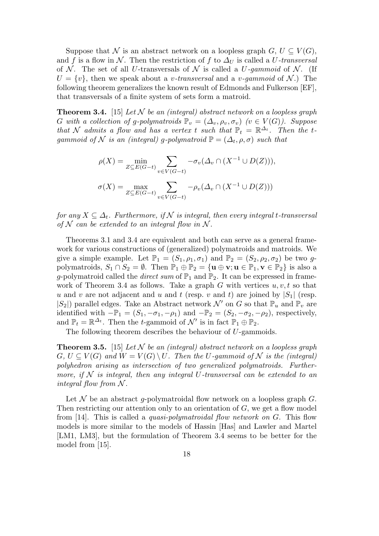Suppose that N is an abstract network on a loopless graph  $G, U \subseteq V(G)$ , and f is a flow in N. Then the restriction of f to  $\Delta_U$  is called a U-transversal of N. The set of all U-transversals of N is called a U-gammoid of N. (If  $U = \{v\}$ , then we speak about a *v*-transversal and a *v*-gammoid of N.) The following theorem generalizes the known result of Edmonds and Fulkerson [EF], that transversals of a finite system of sets form a matroid.

**Theorem 3.4.** [15] Let N be an (integral) abstract network on a loopless graph G with a collection of g-polymatroids  $\mathbb{P}_v = (\Delta_v, \rho_v, \sigma_v)$  ( $v \in V(G)$ ). Suppose that N admits a flow and has a vertex t such that  $\mathbb{P}_t = \mathbb{R}^{\Delta_t}$ . Then the tgammoid of N is an (integral) g-polymatroid  $\mathbb{P} = (\Delta_t, \rho, \sigma)$  such that

$$
\rho(X) = \min_{Z \subseteq E(G-t)} \sum_{v \in V(G-t)} -\sigma_v(\Delta_v \cap (X^{-1} \cup D(Z))),
$$
  

$$
\sigma(X) = \max_{Z \subseteq E(G-t)} \sum_{v \in V(G-t)} -\rho_v(\Delta_v \cap (X^{-1} \cup D(Z)))
$$

for any  $X \subseteq \Delta_t$ . Furthermore, if  ${\cal N}$  is integral, then every integral t-transversal of  $N$  can be extended to an integral flow in N.

Theorems 3.1 and 3.4 are equivalent and both can serve as a general framework for various constructions of (generalized) polymatroids and matroids. We give a simple example. Let  $\mathbb{P}_1 = (S_1, \rho_1, \sigma_1)$  and  $\mathbb{P}_2 = (S_2, \rho_2, \sigma_2)$  be two gpolymatroids,  $S_1 \cap S_2 = \emptyset$ . Then  $\mathbb{P}_1 \oplus \mathbb{P}_2 = {\mathbf{u} \oplus \mathbf{v}; \mathbf{u} \in \mathbb{P}_1, \mathbf{v} \in \mathbb{P}_2}$  is also a g-polymatroid called the *direct sum* of  $\mathbb{P}_1$  and  $\mathbb{P}_2$ . It can be expressed in framework of Theorem 3.4 as follows. Take a graph G with vertices  $u, v, t$  so that u and v are not adjacent and u and t (resp. v and t) are joined by  $|S_1|$  (resp.  $|S_2|$ ) parallel edges. Take an Abstract network  $\mathcal{N}'$  on G so that  $\mathbb{P}_u$  and  $\mathbb{P}_v$  are identified with  $-\mathbb{P}_1 = (S_1, -\sigma_1, -\rho_1)$  and  $-\mathbb{P}_2 = (S_2, -\sigma_2, -\rho_2)$ , respectively, and  $\mathbb{P}_t = \mathbb{R}^{\Delta_t}$ . Then the *t*-gammoid of  $\mathcal{N}'$  is in fact  $\mathbb{P}_1 \oplus \mathbb{P}_2$ .

The following theorem describes the behaviour of  $U$ -gammoids.

**Theorem 3.5.** [15] Let N be an (integral) abstract network on a loopless graph  $G, U \subseteq V(G)$  and  $W = V(G) \setminus U$ . Then the U-gammoid of N is the (integral) polyhedron arising as intersection of two generalized polymatroids. Furthermore, if  $\mathcal N$  is integral, then any integral U-transversal can be extended to an integral flow from  $N$ .

Let  $\mathcal N$  be an abstract g-polymatroidal flow network on a loopless graph  $G$ . Then restricting our attention only to an orientation of  $G$ , we get a flow model from [14]. This is called a *quasi-polymatroidal flow network on G*. This flow models is more similar to the models of Hassin [Has] and Lawler and Martel [LM1, LM3], but the formulation of Theorem 3.4 seems to be better for the model from [15].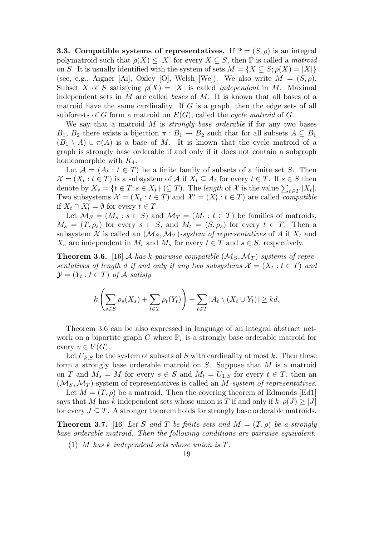**3.3.** Compatible systems of representatives. If  $\mathbb{P} = (S, \rho)$  is an integral polymatroid such that  $\rho(X) \leq |X|$  for every  $X \subseteq S$ , then  $\mathbb P$  is called a *matroid* on S. It is usually identified with the system of sets  $M = \{X \subseteq S; \rho(X) = |X|\}$ (see, e.g., Aigner [Ai], Oxley [O], Welsh [We]). We also write  $M = (S, \rho)$ . Subset X of S satisfying  $\rho(X) = |X|$  is called *independent* in M. Maximal independent sets in  $M$  are called bases of  $M$ . It is known that all bases of a matroid have the same cardinality. If G is a graph, then the edge sets of all subforests of G form a matroid on  $E(G)$ , called the *cycle matroid* of G.

We say that a matroid  $M$  is *strongly base orderable* if for any two bases  $B_1, B_2$  there exists a bijection  $\pi : B_1 \to B_2$  such that for all subsets  $A \subseteq B_1$  $(B_1 \setminus A) \cup \pi(A)$  is a base of M. It is known that the cycle matroid of a graph is strongly base orderable if and only if it does not contain a subgraph homeomorphic with  $K_4$ .

Let  $\mathcal{A} = (A_t : t \in T)$  be a finite family of subsets of a finite set S. Then  $\mathcal{X} = (X_t : t \in T)$  is a subsystem of  $\mathcal{A}$  if  $X_t \subseteq A_t$  for every  $t \in T$ . If  $s \in S$  then  $\mathcal{A} = (\Lambda_t : t \in I)$  is a subsystem of  $\mathcal{A}$  if  $\Lambda_t \subseteq \mathcal{A}_t$  for every  $t \in I$ . If  $s \in S$  then<br>denote by  $X_s = \{t \in T; s \in X_t\}$  ( $\subseteq T$ ). The *length* of  $\mathcal{X}$  is the value  $\sum_{t \in T} |X_t|$ . Two subsystems  $\mathcal{X} = (X_t : t \in T)$  and  $\mathcal{X}' = (X'_t : t \in T)$  are called *compatible* if  $X_t \cap X'_t = \emptyset$  for every  $t \in T$ .

Let  $\mathcal{M}_S = (M_s : s \in S)$  and  $\mathcal{M}_T = (M_t : t \in T)$  be families of matroids,  $M_s = (T, \rho_s)$  for every  $s \in S$ , and  $M_t = (S, \rho_s)$  for every  $t \in T$ . Then a subsystem X is called an  $(\mathcal{M}_S, \mathcal{M}_T)$ -system of representatives of A if  $X_t$  and  $X_s$  are independent in  $M_t$  and  $M_s$  for every  $t \in T$  and  $s \in S$ , respectively.

**Theorem 3.6.** [16] A has k pairwise compatible  $(M_S, M_T)$ -systems of representatives of length d if and only if any two subsystems  $\mathcal{X} = (X_t : t \in T)$  and  $\mathcal{Y} = (Y_t : t \in T)$  of A satisfy

$$
k\left(\sum_{s\in S}\rho_s(X_s) + \sum_{t\in T}\rho_t(Y_t)\right) + \sum_{t\in T}|A_t\setminus (X_t\cup Y_t)| \geq kd.
$$

Theorem 3.6 can be also expressed in language of an integral abstract network on a bipartite graph G where  $\mathbb{P}_v$  is a strongly base orderable matroid for every  $v \in V(G)$ .

Let  $U_{k,S}$  be the system of subsets of S with cardinality at most k. Then these form a strongly base orderable matroid on S. Suppose that M is a matroid on T and  $M_s = M$  for every  $s \in S$  and  $M_t = U_{1,S}$  for every  $t \in T$ , then an  $(M_S, M_T)$ -system of representatives is called an M-system of representatives.

Let  $M = (T, \rho)$  be a matroid. Then the covering theorem of Edmonds [Ed1] says that M has k independent sets whose union is T if and only if  $k \cdot \rho(J) \geq |J|$ for every  $J \subseteq T$ . A stronger theorem holds for strongly base orderable matroids.

**Theorem 3.7.** [16] Let S and T be finite sets and  $M = (T, \rho)$  be a strongly base orderable matroid. Then the following conditions are pairwise equivalent.

(1) M has k independent sets whose union is T.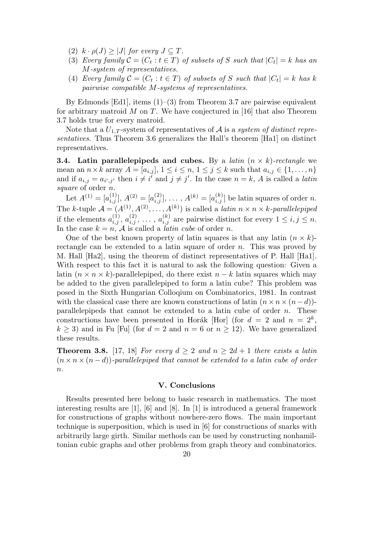- (2)  $k \cdot \rho(J) \geq |J|$  for every  $J \subseteq T$ .
- (3) Every family  $C = (C_t : t \in T)$  of subsets of S such that  $|C_t| = k$  has an M-system of representatives.
- (4) Every family  $C = (C_t : t \in T)$  of subsets of S such that  $|C_t| = k$  has k pairwise compatible M-systems of representatives.

By Edmonds [Ed1], items  $(1)$ – $(3)$  from Theorem 3.7 are pairwise equivalent for arbitrary matroid  $M$  on  $T$ . We have conjectured in [16] that also Theorem 3.7 holds true for every matroid.

Note that a  $U_{1,T}$ -system of representatives of A is a system of distinct representatives. Thus Theorem 3.6 generalizes the Hall's theorem [Ha1] on distinct representatives.

**3.4.** Latin parallelepipeds and cubes. By a *latin*  $(n \times k)$ -rectangle we mean an  $n \times k$  array  $A = [a_{i,j}], 1 \leq i \leq n, 1 \leq j \leq k$  such that  $a_{i,j} \in \{1, \ldots, n\}$ and if  $a_{i,j} = a_{i',j'}$  then  $i \neq i'$  and  $j \neq j'$ . In the case  $n = k$ , A is called a *latin* square of order n.

Let  $A^{(1)} = [a_{i,j}^{(1)}], A^{(2)} = [a_{i,j}^{(2)}], \ldots, A^{(k)} = [a_{i,j}^{(k)}]$  be latin squares of order n. The k-tuple  $A = (A^{(1)}, A^{(2)}, \ldots, A^{(k)})$  is called a *latin*  $n \times n \times k$ -parallelepiped if the elements  $a_{i,j}^{(1)}, a_{i,j}^{(2)}, \ldots, a_{i,j}^{(k)}$  are pairwise distinct for every  $1 \leq i, j \leq n$ . In the case  $k = n$ , A is called a *latin cube* of order *n*.

One of the best known property of latin squares is that any latin  $(n \times k)$ rectangle can be extended to a latin square of order  $n$ . This was proved by M. Hall [Ha2], using the theorem of distinct representatives of P. Hall [Ha1]. With respect to this fact it is natural to ask the following question: Given a latin  $(n \times n \times k)$ -parallelepiped, do there exist  $n - k$  latin squares which may be added to the given parallelepiped to form a latin cube? This problem was posed in the Sixth Hungarian Colloqium on Combinatorics, 1981. In contrast with the classical case there are known constructions of latin  $(n \times n \times (n-d))$ parallelepipeds that cannot be extended to a latin cube of order  $n$ . These constructions have been presented in Horák [Hor] (for  $d = 2$  and  $n = 2<sup>k</sup>$ ,  $k \geq 3$ ) and in Fu [Fu] (for  $d = 2$  and  $n = 6$  or  $n \geq 12$ ). We have generalized these results.

**Theorem 3.8.** [17, 18] For every  $d \geq 2$  and  $n \geq 2d+1$  there exists a latin  $(n \times n \times (n-d))$ -parallelepiped that cannot be extended to a latin cube of order  $\boldsymbol{n}$  .

#### V. Conclusions

Results presented here belong to basic research in mathematics. The most interesting results are [1], [6] and [8]. In [1] is introduced a general framework for constructions of graphs without nowhere-zero flows. The main important technique is superposition, which is used in [6] for constructions of snarks with arbitrarily large girth. Similar methods can be used by constructing nonhamiltonian cubic graphs and other problems from graph theory and combinatorics.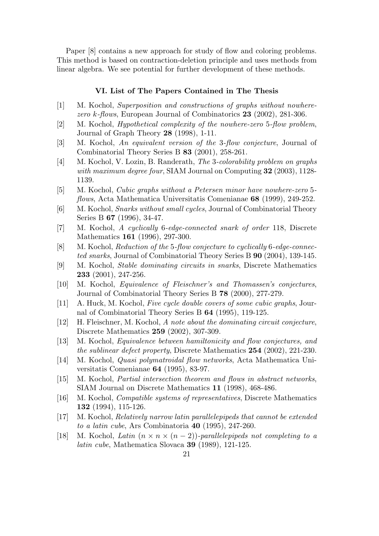Paper  $[8]$  contains a new approach for study of flow and coloring problems. This method is based on contraction-deletion principle and uses methods from linear algebra. We see potential for further development of these methods.

# VI. List of The Papers Contained in The Thesis

- [1] M. Kochol, Superposition and constructions of graphs without nowherezero k-flows, European Journal of Combinatorics 23 (2002), 281-306.
- [2] M. Kochol, Hypothetical complexity of the nowhere-zero 5-flow problem, Journal of Graph Theory 28 (1998), 1-11.
- [3] M. Kochol, An equivalent version of the 3-flow conjecture, Journal of Combinatorial Theory Series B 83 (2001), 258-261.
- [4] M. Kochol, V. Lozin, B. Randerath, The 3-colorability problem on graphs with maximum degree four, SIAM Journal on Computing 32 (2003), 1128-1139.
- [5] M. Kochol, Cubic graphs without a Petersen minor have nowhere-zero 5 flows, Acta Mathematica Universitatis Comenianae 68 (1999), 249-252.
- [6] M. Kochol, Snarks without small cycles, Journal of Combinatorial Theory Series B 67 (1996), 34-47.
- [7] M. Kochol, A cyclically 6-edge-connected snark of order 118, Discrete Mathematics 161 (1996), 297-300.
- [8] M. Kochol, Reduction of the 5-flow conjecture to cyclically 6-edge-connected snarks, Journal of Combinatorial Theory Series B 90 (2004), 139-145.
- [9] M. Kochol, Stable dominating circuits in snarks, Discrete Mathematics 233 (2001), 247-256.
- [10] M. Kochol, *Equivalence of Fleischner's and Thomassen's conjectures*, Journal of Combinatorial Theory Series B 78 (2000), 277-279.
- [11] A. Huck, M. Kochol, Five cycle double covers of some cubic graphs, Journal of Combinatorial Theory Series B 64 (1995), 119-125.
- [12] H. Fleischner, M. Kochol, A note about the dominating circuit conjecture, Discrete Mathematics 259 (2002), 307-309.
- [13] M. Kochol, Equivalence between hamiltonicity and flow conjectures, and the sublinear defect property, Discrete Mathematics 254 (2002), 221-230.
- [14] M. Kochol, Quasi polymatroidal flow networks, Acta Mathematica Universitatis Comenianae 64 (1995), 83-97.
- [15] M. Kochol, Partial intersection theorem and flows in abstract networks, SIAM Journal on Discrete Mathematics 11 (1998), 468-486.
- [16] M. Kochol, Compatible systems of representatives, Discrete Mathematics 132 (1994), 115-126.
- [17] M. Kochol, Relatively narrow latin parallelepipeds that cannot be extended to a latin cube, Ars Combinatoria 40 (1995), 247-260.
- [18] M. Kochol, Latin  $(n \times n \times (n-2))$ -parallelepipeds not completing to a latin cube, Mathematica Slovaca 39 (1989), 121-125.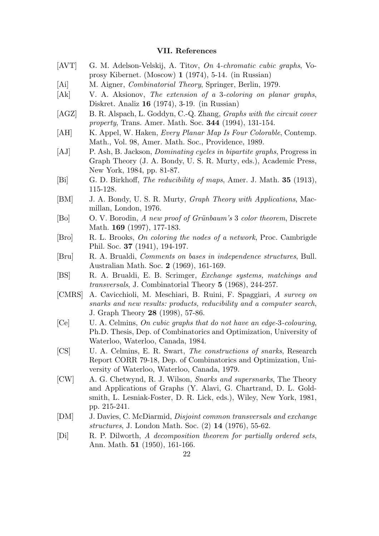# VII. References

- [AVT] G. M. Adelson-Velskij, A. Titov, On 4-chromatic cubic graphs, Voprosy Kibernet. (Moscow) 1 (1974), 5-14. (in Russian)
- [Ai] M. Aigner, Combinatorial Theory, Springer, Berlin, 1979.
- [Ak] V. A. Aksionov, The extension of a 3-coloring on planar graphs, Diskret. Analiz 16 (1974), 3-19. (in Russian)
- [AGZ] B. R. Alspach, L. Goddyn, C.-Q. Zhang, *Graphs with the circuit cover* property, Trans. Amer. Math. Soc. 344 (1994), 131-154.
- [AH] K. Appel, W. Haken, Every Planar Map Is Four Colorable, Contemp. Math., Vol. 98, Amer. Math. Soc., Providence, 1989.
- [AJ] P. Ash, B. Jackson, Dominating cycles in bipartite graphs, Progress in Graph Theory (J. A. Bondy, U. S. R. Murty, eds.), Academic Press, New York, 1984, pp. 81-87.
- [Bi] G. D. Birkhoff, *The reducibility of maps*, Amer. J. Math. **35** (1913), 115-128.
- [BM] J. A. Bondy, U. S. R. Murty, Graph Theory with Applications, Macmillan, London, 1976.
- [Bo] O. V. Borodin, A new proof of Grünbaum's 3 color theorem, Discrete Math. 169 (1997), 177-183.
- [Bro] R. L. Brooks, On coloring the nodes of a network, Proc. Cambrigde Phil. Soc. 37 (1941), 194-197.
- [Bru] R. A. Brualdi, Comments on bases in independence structures, Bull. Australian Math. Soc. 2 (1969), 161-169.
- [BS] R. A. Brualdi, E. B. Scrimger, Exchange systems, matchings and transversals, J. Combinatorial Theory 5 (1968), 244-257.
- [CMRS] A. Cavicchioli, M. Meschiari, B. Ruini, F. Spaggiari, A survey on snarks and new results: products, reducibility and a computer search, J. Graph Theory 28 (1998), 57-86.
- [Ce] U. A. Celmins, On cubic graphs that do not have an edge-3-colouring, Ph.D. Thesis, Dep. of Combinatorics and Optimization, University of Waterloo, Waterloo, Canada, 1984.
- [CS] U. A. Celmins, E. R. Swart, The constructions of snarks, Research Report CORR 79-18, Dep. of Combinatorics and Optimization, University of Waterloo, Waterloo, Canada, 1979.
- [CW] A. G. Chetwynd, R. J. Wilson, Snarks and supersnarks, The Theory and Applications of Graphs (Y. Alavi, G. Chartrand, D. L. Goldsmith, L. Lesniak-Foster, D. R. Lick, eds.), Wiley, New York, 1981, pp. 215-241.
- [DM] J. Davies, C. McDiarmid, Disjoint common transversals and exchange structures, J. London Math. Soc. (2) 14 (1976), 55-62.
- [Di] R. P. Dilworth, A decomposition theorem for partially ordered sets, Ann. Math. 51 (1950), 161-166.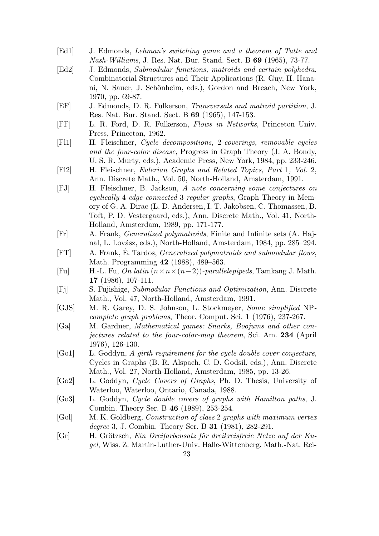- [Ed1] J. Edmonds, Lehman's switching game and a theorem of Tutte and Nash-Williams, J. Res. Nat. Bur. Stand. Sect. B 69 (1965), 73-77.
- [Ed2] J. Edmonds, Submodular functions, matroids and certain polyhedra, Combinatorial Structures and Their Applications (R. Guy, H. Hanani, N. Sauer, J. Schönheim, eds.), Gordon and Breach, New York, 1970, pp. 69-87.
- [EF] J. Edmonds, D. R. Fulkerson, Transversals and matroid partition, J. Res. Nat. Bur. Stand. Sect. B 69 (1965), 147-153.
- [FF] L. R. Ford, D. R. Fulkerson, Flows in Networks, Princeton Univ. Press, Princeton, 1962.
- [Fl1] H. Fleischner, Cycle decompositions, 2-coverings, removable cycles and the four-color disease, Progress in Graph Theory (J. A. Bondy, U. S. R. Murty, eds.), Academic Press, New York, 1984, pp. 233-246.
- [Fl2] H. Fleischner, Eulerian Graphs and Related Topics, Part 1, Vol. 2, Ann. Discrete Math., Vol. 50, North-Holland, Amsterdam, 1991.
- [FJ] H. Fleischner, B. Jackson, A note concerning some conjectures on cyclically 4-edge-connected 3-regular graphs, Graph Theory in Memory of G. A. Dirac (L. D. Andersen, I. T. Jakobsen, C. Thomassen, B. Toft, P. D. Vestergaard, eds.), Ann. Discrete Math., Vol. 41, North-Holland, Amsterdam, 1989, pp. 171-177.
- [Fr] A. Frank, Generalized polymatroids, Finite and Infinite sets (A. Hajnal, L. Lovász, eds.), North-Holland, Amsterdam, 1984, pp. 285–294.
- [FT] A. Frank, E. Tardos, *Generalized polymatroids and submodular flows*, Math. Programming 42 (1988), 489–563.
- [Fu] H.-L. Fu, On latin  $(n \times n \times (n-2))$ -parallelepipeds, Tamkang J. Math. 17 (1986), 107-111.
- [Fj] S. Fujishige, Submodular Functions and Optimization, Ann. Discrete Math., Vol. 47, North-Holland, Amsterdam, 1991.
- [GJS] M. R. Garey, D. S. Johnson, L. Stockmeyer, Some simplified NPcomplete graph problems, Theor. Comput. Sci. 1 (1976), 237-267.
- [Ga] M. Gardner, Mathematical games: Snarks, Boojums and other conjectures related to the four-color-map theorem, Sci. Am. 234 (April 1976), 126-130.
- [Go1] L. Goddyn, A girth requirement for the cycle double cover conjecture, Cycles in Graphs (B. R. Alspach, C. D. Godsil, eds.), Ann. Discrete Math., Vol. 27, North-Holland, Amsterdam, 1985, pp. 13-26.
- [Go2] L. Goddyn, Cycle Covers of Graphs, Ph. D. Thesis, University of Waterloo, Waterloo, Ontario, Canada, 1988.
- [Go3] L. Goddyn, Cycle double covers of graphs with Hamilton paths, J. Combin. Theory Ser. B 46 (1989), 253-254.
- [Gol] M. K. Goldberg, Construction of class 2 graphs with maximum vertex degree 3, J. Combin. Theory Ser. B **31** (1981), 282-291.
- [Gr] H. Grötzsch, Ein Dreifarbensatz für dreikreisfreie Netze auf der Kugel, Wiss. Z. Martin-Luther-Univ. Halle-Wittenberg. Math.-Nat. Rei-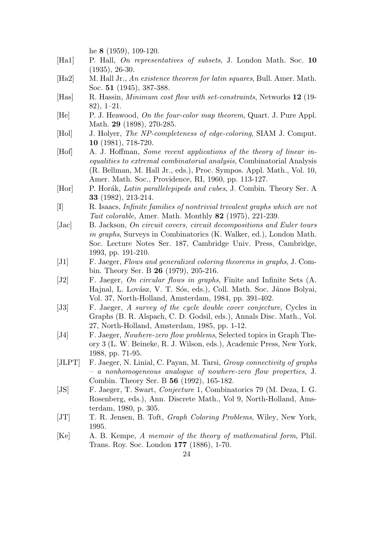he 8 (1959), 109-120.

- [Ha1] P. Hall, On representatives of subsets, J. London Math. Soc. 10 (1935), 26-30.
- [Ha2] M. Hall Jr., An existence theorem for latin squares, Bull. Amer. Math. Soc. 51 (1945), 387-388.
- [Has] R. Hassin, Minimum cost flow with set-constraints, Networks 12 (19- 82), 1–21.
- [He] P. J. Heawood, On the four-color map theorem, Quart. J. Pure Appl. Math. **29** (1898), 270-285.
- [Hol] J. Holyer, The NP-completeness of edge-coloring, SIAM J. Comput. 10 (1981), 718-720.
- [Hof] A. J. Hoffman, Some recent applications of the theory of linear inequalities to extremal combinatorial analysis, Combinatorial Analysis (R. Bellman, M. Hall Jr., eds.), Proc. Sympos. Appl. Math., Vol. 10, Amer. Math. Soc., Providence, RI, 1960, pp. 113-127.
- [Hor] P. Horák, Latin parallelepipeds and cubes, J. Combin. Theory Ser. A 33 (1982), 213-214.
- [I] R. Isaacs, Infinite families of nontrivial trivalent graphs which are not Tait colorable, Amer. Math. Monthly 82 (1975), 221-239.
- [Jac] B. Jackson, On circuit covers, circuit decompositions and Euler tours in graphs, Surveys in Combinatorics (K. Walker, ed.), London Math. Soc. Lecture Notes Ser. 187, Cambridge Univ. Press, Cambridge, 1993, pp. 191-210.
- [J1] F. Jaeger, Flows and generalized coloring theorems in graphs, J. Combin. Theory Ser. B 26 (1979), 205-216.
- [J2] F. Jaeger, On circular flows in graphs, Finite and Infinite Sets (A. Hajnal, L. Lovász, V. T. Sós, eds.), Coll. Math. Soc. János Bolyai, Vol. 37, North-Holland, Amsterdam, 1984, pp. 391-402.
- [J3] F. Jaeger, A survey of the cycle double cover conjecture, Cycles in Graphs (B. R. Alspach, C. D. Godsil, eds.), Annals Disc. Math., Vol. 27, North-Holland, Amsterdam, 1985, pp. 1-12.
- [J4] F. Jaeger, Nowhere-zero flow problems, Selected topics in Graph Theory 3 (L. W. Beineke, R. J. Wilson, eds.), Academic Press, New York, 1988, pp. 71-95.
- [JLPT] F. Jaeger, N. Linial, C. Payan, M. Tarsi, Group connectivity of graphs – a nonhomogeneous analogue of nowhere-zero flow properties, J. Combin. Theory Ser. B 56 (1992), 165-182.
- [JS] F. Jaeger, T. Swart, Conjecture 1, Combinatorics 79 (M. Deza, I. G. Rosenberg, eds.), Ann. Discrete Math., Vol 9, North-Holland, Amsterdam, 1980, p. 305.
- [JT] T. R. Jensen, B. Toft, Graph Coloring Problems, Wiley, New York, 1995.
- [Ke] A. B. Kempe, A memoir of the theory of mathematical form, Phil. Trans. Roy. Soc. London 177 (1886), 1-70.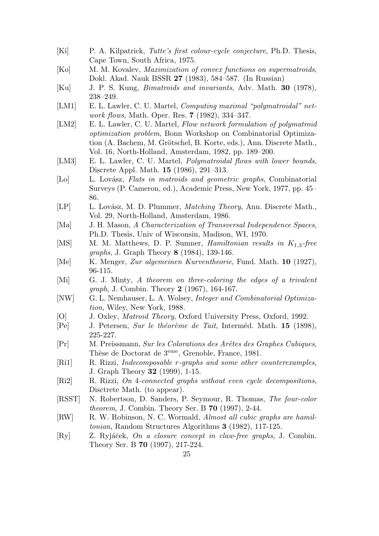- [Ki] P. A. Kilpatrick, Tutte's first colour-cycle conjecture, Ph.D. Thesis, Cape Town, South Africa, 1975.
- [Ko] M. M. Kovalev, Maximization of convex functions on supermatroids, Dokl. Akad. Nauk BSSR 27 (1983), 584–587. (In Russian)
- [Ku] J. P. S. Kung, Bimatroids and invariants, Adv. Math. 30 (1978), 238–249.
- [LM1] E. L. Lawler, C. U. Martel, Computing maximal "polymatroidal" network flows, Math. Oper. Res. 7 (1982), 334–347.
- [LM2] E. L. Lawler, C. U. Martel, Flow network formulation of polymatroid optimization problem, Bonn Workshop on Combinatorial Optimization (A. Bachem, M. Grötschel, B. Korte, eds.), Ann. Discrete Math., Vol. 16, North-Holland, Amsterdam, 1982, pp. 189–200.
- [LM3] E. L. Lawler, C. U. Martel, *Polymatroidal flows with lower bounds*, Discrete Appl. Math. 15 (1986), 291–313.
- [Lo] L. Lovász, Flats in matroids and geometric graphs, Combinatorial Surveys (P. Cameron, ed.), Academic Press, New York, 1977, pp. 45– 86.
- [LP] L. Lovász, M. D. Plummer, *Matching Theory*, Ann. Discrete Math., Vol. 29, North-Holland, Amsterdam, 1986.
- [Ma] J. H. Mason, A Characterization of Transversal Independence Spaces, Ph.D. Thesis, Univ of Wisconsin, Madison, WI, 1970.
- [MS] M. M. Matthews, D. P. Sumner, *Hamiltonian results in*  $K_{1,3}$ -free graphs, J. Graph Theory 8 (1984), 139-146.
- [Me] K. Menger, Zur algemeinen Kurventheorie, Fund. Math. 10 (1927), 96-115.
- [Mi] G. J. Minty, A theorem on three-coloring the edges of a trivalent graph, J. Combin. Theory 2 (1967), 164-167.
- [NW] G. L. Nemhauser, L. A. Wolsey, Integer and Combinatorial Optimization, Wiley, New York, 1988.
- [O] J. Oxley, Matroid Theory, Oxford University Press, Oxford, 1992.
- [Pe] J. Petersen, Sur le théorème de Tait, Interméd. Math. 15 (1898), 225-227.
- [Pr] M. Preissmann, Sur les Colorations des Arˆetes des Graphes Cubiques, Thèse de Doctorat de 3<sup>eme</sup>, Grenoble, France, 1981.
- [Ri1] R. Rizzi, *Indecomposable r-graphs and some other counterexamples*, J. Graph Theory 32 (1999), 1-15.
- [Ri2] R. Rizzi, On 4-connected graphs without even cycle decompositions, Disctrete Math. (to appear).
- [RSST] N. Robertson, D. Sanders, P. Seymour, R. Thomas, The four-color theorem, J. Combin. Theory Ser. B 70 (1997), 2-44.
- [RW] R. W. Robinson, N. C. Wormald, Almost all cubic graphs are hamiltonian, Random Structures Algorithms 3 (1982), 117-125.
- [Ry] Z. Ryjáček, On a closure concept in claw-free graphs, J. Combin. Theory Ser. B 70 (1997), 217-224.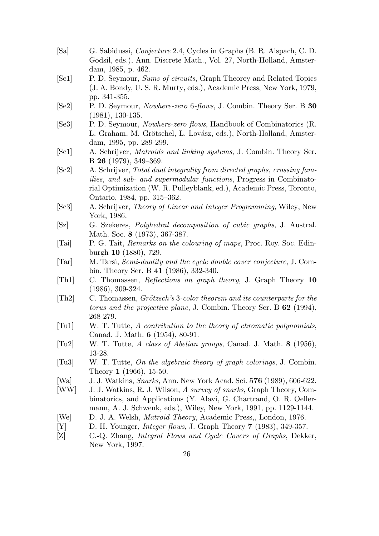- [Sa] G. Sabidussi, Conjecture 2.4, Cycles in Graphs (B. R. Alspach, C. D. Godsil, eds.), Ann. Discrete Math., Vol. 27, North-Holland, Amsterdam, 1985, p. 462.
- [Se1] P. D. Seymour, *Sums of circuits*, Graph Theorey and Related Topics (J. A. Bondy, U. S. R. Murty, eds.), Academic Press, New York, 1979, pp. 341-355.
- [Se2] P. D. Seymour, Nowhere-zero 6-flows, J. Combin. Theory Ser. B 30 (1981), 130-135.
- [Se3] P. D. Seymour, Nowhere-zero flows, Handbook of Combinatorics (R. L. Graham, M. Grötschel, L. Lovász, eds.), North-Holland, Amsterdam, 1995, pp. 289-299.
- [Sc1] A. Schrijver, Matroids and linking systems, J. Combin. Theory Ser. B 26 (1979), 349–369.
- [Sc2] A. Schrijver, Total dual integrality from directed graphs, crossing families, and sub- and supermodular functions, Progress in Combinatorial Optimization (W. R. Pulleyblank, ed.), Academic Press, Toronto, Ontario, 1984, pp. 315–362.
- [Sc3] A. Schrijver, Theory of Linear and Integer Programming, Wiley, New York, 1986.
- [Sz] G. Szekeres, Polyhedral decomposition of cubic graphs, J. Austral. Math. Soc. 8 (1973), 367-387.
- [Tai] P. G. Tait, Remarks on the colouring of maps, Proc. Roy. Soc. Edinburgh 10 (1880), 729.
- [Tar] M. Tarsi, Semi-duality and the cycle double cover conjecture, J. Combin. Theory Ser. B 41 (1986), 332-340.
- [Th1] C. Thomassen, Reflections on graph theory, J. Graph Theory 10 (1986), 309-324.
- $[Th2]$  C. Thomassen, Grötzsch's 3-color theorem and its counterparts for the torus and the projective plane, J. Combin. Theory Ser. B 62 (1994), 268-279.
- [Tu1] W. T. Tutte, A contribution to the theory of chromatic polynomials, Canad. J. Math. 6 (1954), 80-91.
- [Tu2] W. T. Tutte, A class of Abelian groups, Canad. J. Math. 8 (1956), 13-28.
- [Tu3] W. T. Tutte, On the algebraic theory of graph colorings, J. Combin. Theory 1 (1966), 15-50.
- [Wa] J. J. Watkins, Snarks, Ann. New York Acad. Sci. 576 (1989), 606-622.
- [WW] J. J. Watkins, R. J. Wilson, A survey of snarks, Graph Theory, Combinatorics, and Applications (Y. Alavi, G. Chartrand, O. R. Oellermann, A. J. Schwenk, eds.), Wiley, New York, 1991, pp. 1129-1144.
- [We] D. J. A. Welsh, Matroid Theory, Academic Press,, London, 1976.
- [Y] D. H. Younger, *Integer flows*, J. Graph Theory  $7$  (1983), 349-357.
- [Z] C.-Q. Zhang, Integral Flows and Cycle Covers of Graphs, Dekker, New York, 1997.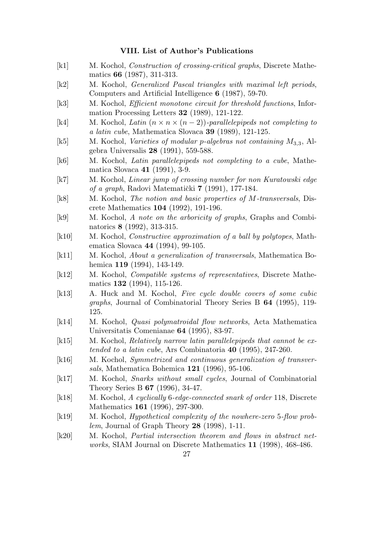# VIII. List of Author's Publications

- [k1] M. Kochol, Construction of crossing-critical graphs, Discrete Mathematics 66 (1987), 311-313.
- [k2] M. Kochol, Generalized Pascal triangles with maximal left periods, Computers and Artificial Intelligence 6 (1987), 59-70.
- [k3] M. Kochol, Efficient monotone circuit for threshold functions, Information Processing Letters 32 (1989), 121-122.
- [k4] M. Kochol, Latin  $(n \times n \times (n-2))$ -parallelepipeds not completing to a latin cube, Mathematica Slovaca 39 (1989), 121-125.
- [k5] M. Kochol, *Varieties of modular p-algebras not containing*  $M_{3,3}$ , Algebra Universalis 28 (1991), 559-588.
- [k6] M. Kochol, Latin parallelepipeds not completing to a cube, Mathematica Slovaca 41 (1991), 3-9.
- [k7] M. Kochol, Linear jump of crossing number for non Kuratowski edge of a graph, Radovi Matematički  $7$  (1991), 177-184.
- [k8] M. Kochol, The notion and basic properties of M-transversals, Discrete Mathematics 104 (1992), 191-196.
- [k9] M. Kochol, A note on the arboricity of graphs, Graphs and Combinatorics 8 (1992), 313-315.
- [k10] M. Kochol, Constructive approximation of a ball by polytopes, Mathematica Slovaca 44 (1994), 99-105.
- [k11] M. Kochol, About a generalization of transversals, Mathematica Bohemica 119 (1994), 143-149.
- [k12] M. Kochol, Compatible systems of representatives, Discrete Mathematics 132 (1994), 115-126.
- [k13] A. Huck and M. Kochol, Five cycle double covers of some cubic graphs, Journal of Combinatorial Theory Series B 64 (1995), 119- 125.
- [k14] M. Kochol, Quasi polymatroidal flow networks, Acta Mathematica Universitatis Comenianae 64 (1995), 83-97.
- [k15] M. Kochol, *Relatively narrow latin parallelepipeds that cannot be ex*tended to a latin cube, Ars Combinatoria  $40$  (1995), 247-260.
- [k16] M. Kochol, Symmetrized and continuous generalization of transversals, Mathematica Bohemica 121 (1996), 95-106.
- [k17] M. Kochol, Snarks without small cycles, Journal of Combinatorial Theory Series B 67 (1996), 34-47.
- [k18] M. Kochol, A cyclically 6-edge-connected snark of order 118, Discrete Mathematics 161 (1996), 297-300.
- [k19] M. Kochol, *Hypothetical complexity of the nowhere-zero* 5-flow problem, Journal of Graph Theory 28 (1998), 1-11.
- [k20] M. Kochol, Partial intersection theorem and flows in abstract networks, SIAM Journal on Discrete Mathematics 11 (1998), 468-486.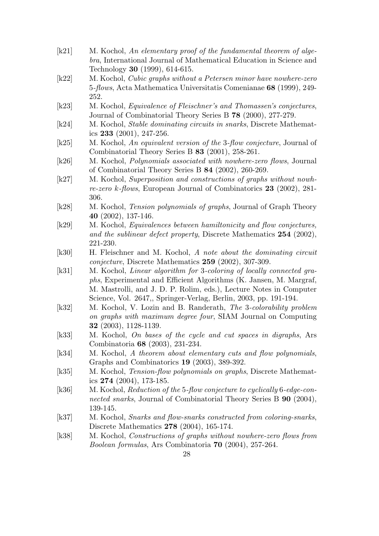- [k21] M. Kochol, An elementary proof of the fundamental theorem of algebra, International Journal of Mathematical Education in Science and Technology 30 (1999), 614-615.
- [k22] M. Kochol, Cubic graphs without a Petersen minor have nowhere-zero 5-flows, Acta Mathematica Universitatis Comenianae 68 (1999), 249- 252.
- [k23] M. Kochol, Equivalence of Fleischner's and Thomassen's conjectures, Journal of Combinatorial Theory Series B 78 (2000), 277-279.
- [k24] M. Kochol, Stable dominating circuits in snarks, Discrete Mathematics 233 (2001), 247-256.
- [k25] M. Kochol, An equivalent version of the 3-flow conjecture, Journal of Combinatorial Theory Series B 83 (2001), 258-261.
- [k26] M. Kochol, Polynomials associated with nowhere-zero flows, Journal of Combinatorial Theory Series B 84 (2002), 260-269.
- [k27] M. Kochol, Superposition and constructions of graphs without nowhre-zero k-flows, European Journal of Combinatorics 23 (2002), 281- 306.
- [k28] M. Kochol, Tension polynomials of graphs, Journal of Graph Theory 40 (2002), 137-146.
- [k29] M. Kochol, Equivalences between hamiltonicity and flow conjectures, and the sublinear defect property, Discrete Mathematics 254 (2002), 221-230.
- [k30] H. Fleischner and M. Kochol, A note about the dominating circuit conjecture, Discrete Mathematics 259 (2002), 307-309.
- [k31] M. Kochol, *Linear algorithm for* 3-coloring of locally connected graphs, Experimental and Efficient Algorithms (K. Jansen, M. Margraf, M. Mastrolli, and J. D. P. Rolim, eds.), Lecture Notes in Computer Science, Vol. 2647,, Springer-Verlag, Berlin, 2003, pp. 191-194.
- [k32] M. Kochol, V. Lozin and B. Randerath, The 3-colorability problem on graphs with maximum degree four, SIAM Journal on Computing 32 (2003), 1128-1139.
- [k33] M. Kochol, On bases of the cycle and cut spaces in digraphs, Ars Combinatoria 68 (2003), 231-234.
- [k34] M. Kochol, A theorem about elementary cuts and flow polynomials, Graphs and Combinatorics 19 (2003), 389-392.
- [k35] M. Kochol, *Tension-flow polynomials on graphs*, Discrete Mathematics 274 (2004), 173-185.
- [k36] M. Kochol, Reduction of the 5-flow conjecture to cyclically 6-edge-connected snarks, Journal of Combinatorial Theory Series B 90 (2004), 139-145.
- [k37] M. Kochol, Snarks and flow-snarks constructed from coloring-snarks, Discrete Mathematics 278 (2004), 165-174.
- [k38] M. Kochol, *Constructions of graphs without nowhere-zero flows from* Boolean formulas, Ars Combinatoria 70 (2004), 257-264.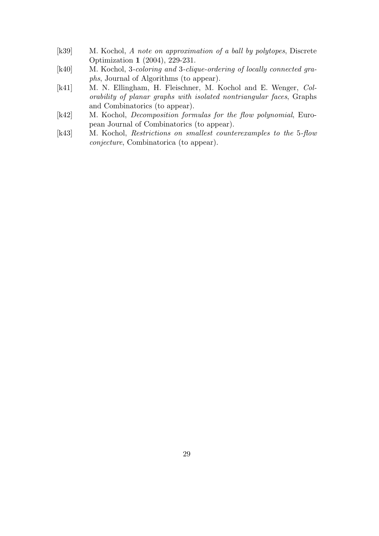- [k39] M. Kochol, A note on approximation of a ball by polytopes, Discrete Optimization 1 (2004), 229-231.
- [k40] M. Kochol, 3-coloring and 3-clique-ordering of locally connected graphs, Journal of Algorithms (to appear).
- [k41] M. N. Ellingham, H. Fleischner, M. Kochol and E. Wenger, Colorability of planar graphs with isolated nontriangular faces, Graphs and Combinatorics (to appear).
- [k42] M. Kochol, Decomposition formulas for the flow polynomial, European Journal of Combinatorics (to appear).
- [k43] M. Kochol, Restrictions on smallest counterexamples to the 5-flow conjecture, Combinatorica (to appear).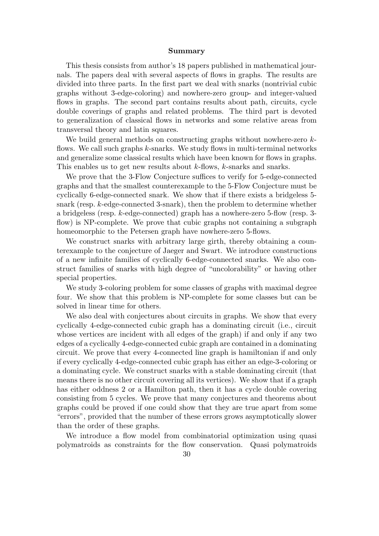#### Summary

This thesis consists from author's 18 papers published in mathematical journals. The papers deal with several aspects of flows in graphs. The results are divided into three parts. In the first part we deal with snarks (nontrivial cubic graphs without 3-edge-coloring) and nowhere-zero group- and integer-valued flows in graphs. The second part contains results about path, circuits, cycle double coverings of graphs and related problems. The third part is devoted to generalization of classical flows in networks and some relative areas from transversal theory and latin squares.

We build general methods on constructing graphs without nowhere-zero kflows. We call such graphs k-snarks. We study flows in multi-terminal networks and generalize some classical results which have been known for flows in graphs. This enables us to get new results about k-flows, k-snarks and snarks.

We prove that the 3-Flow Conjecture suffices to verify for 5-edge-connected graphs and that the smallest counterexample to the 5-Flow Conjecture must be cyclically 6-edge-connected snark. We show that if there exists a bridgeless 5 snark (resp. k-edge-connected 3-snark), then the problem to determine whether a bridgeless (resp. k-edge-connected) graph has a nowhere-zero 5-flow (resp. 3 flow) is NP-complete. We prove that cubic graphs not containing a subgraph homeomorphic to the Petersen graph have nowhere-zero 5-flows.

We construct snarks with arbitrary large girth, thereby obtaining a counterexample to the conjecture of Jaeger and Swart. We introduce constructions of a new infinite families of cyclically 6-edge-connected snarks. We also construct families of snarks with high degree of "uncolorability" or having other special properties.

We study 3-coloring problem for some classes of graphs with maximal degree four. We show that this problem is NP-complete for some classes but can be solved in linear time for others.

We also deal with conjectures about circuits in graphs. We show that every cyclically 4-edge-connected cubic graph has a dominating circuit (i.e., circuit whose vertices are incident with all edges of the graph) if and only if any two edges of a cyclically 4-edge-connected cubic graph are contained in a dominating circuit. We prove that every 4-connected line graph is hamiltonian if and only if every cyclically 4-edge-connected cubic graph has either an edge-3-coloring or a dominating cycle. We construct snarks with a stable dominating circuit (that means there is no other circuit covering all its vertices). We show that if a graph has either oddness 2 or a Hamilton path, then it has a cycle double covering consisting from 5 cycles. We prove that many conjectures and theorems about graphs could be proved if one could show that they are true apart from some "errors", provided that the number of these errors grows asymptotically slower than the order of these graphs.

We introduce a flow model from combinatorial optimization using quasi polymatroids as constraints for the flow conservation. Quasi polymatroids